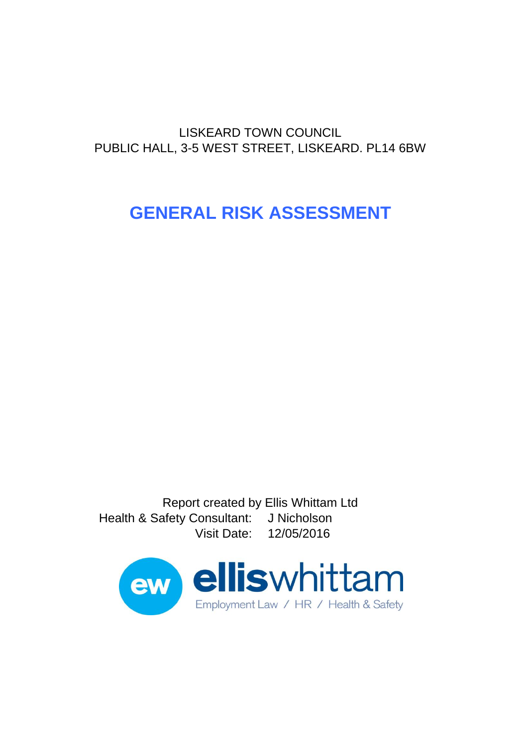# **GENERAL RISK ASSESSMENT**

Report created by Ellis Whittam Ltd Health & Safety Consultant: J Nicholson Visit Date: 12/05/2016

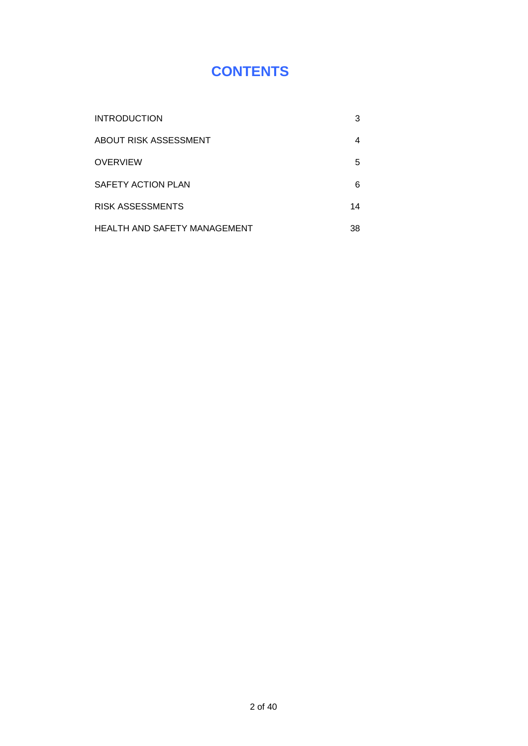## **CONTENTS**

| <b>INTRODUCTION</b>          | 3  |
|------------------------------|----|
| ABOUT RISK ASSESSMENT        |    |
| <b>OVERVIEW</b>              | 5  |
| SAFETY ACTION PLAN           | 6  |
| RISK ASSESSMENTS             | 14 |
| HEALTH AND SAFETY MANAGEMENT | 38 |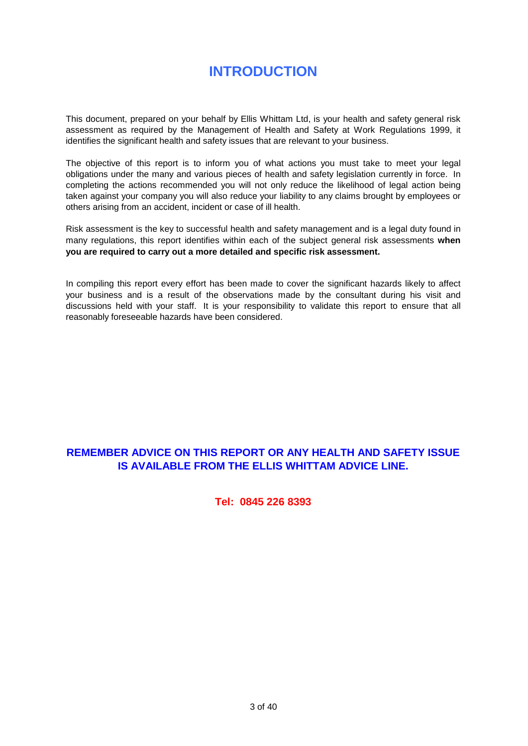## **INTRODUCTION**

This document, prepared on your behalf by Ellis Whittam Ltd, is your health and safety general risk assessment as required by the Management of Health and Safety at Work Regulations 1999, it identifies the significant health and safety issues that are relevant to your business.

The objective of this report is to inform you of what actions you must take to meet your legal obligations under the many and various pieces of health and safety legislation currently in force. In completing the actions recommended you will not only reduce the likelihood of legal action being taken against your company you will also reduce your liability to any claims brought by employees or others arising from an accident, incident or case of ill health.

Risk assessment is the key to successful health and safety management and is a legal duty found in many regulations, this report identifies within each of the subject general risk assessments **when you are required to carry out a more detailed and specific risk assessment.** 

In compiling this report every effort has been made to cover the significant hazards likely to affect your business and is a result of the observations made by the consultant during his visit and discussions held with your staff. It is your responsibility to validate this report to ensure that all reasonably foreseeable hazards have been considered.

## **REMEMBER ADVICE ON THIS REPORT OR ANY HEALTH AND SAFETY ISSUE IS AVAILABLE FROM THE ELLIS WHITTAM ADVICE LINE.**

### **Tel: 0845 226 8393**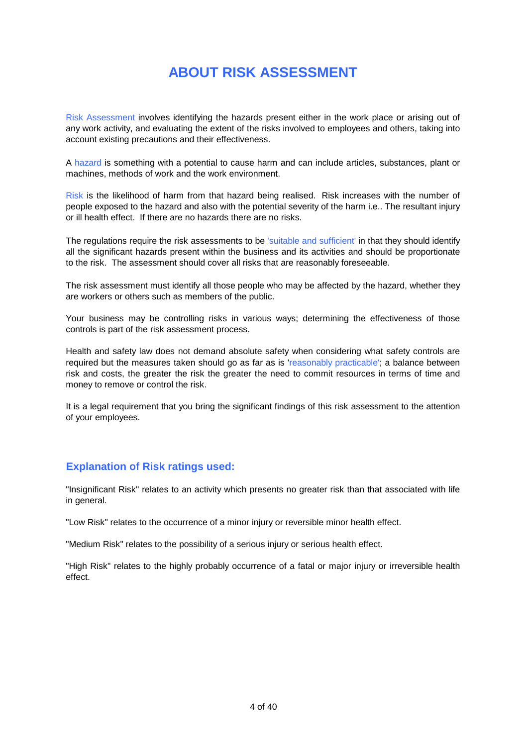## **ABOUT RISK ASSESSMENT**

Risk Assessment involves identifying the hazards present either in the work place or arising out of any work activity, and evaluating the extent of the risks involved to employees and others, taking into account existing precautions and their effectiveness.

A hazard is something with a potential to cause harm and can include articles, substances, plant or machines, methods of work and the work environment.

Risk is the likelihood of harm from that hazard being realised. Risk increases with the number of people exposed to the hazard and also with the potential severity of the harm i.e.. The resultant injury or ill health effect. If there are no hazards there are no risks.

The regulations require the risk assessments to be 'suitable and sufficient' in that they should identify all the significant hazards present within the business and its activities and should be proportionate to the risk. The assessment should cover all risks that are reasonably foreseeable.

The risk assessment must identify all those people who may be affected by the hazard, whether they are workers or others such as members of the public.

Your business may be controlling risks in various ways; determining the effectiveness of those controls is part of the risk assessment process.

Health and safety law does not demand absolute safety when considering what safety controls are required but the measures taken should go as far as is 'reasonably practicable'; a balance between risk and costs, the greater the risk the greater the need to commit resources in terms of time and money to remove or control the risk.

It is a legal requirement that you bring the significant findings of this risk assessment to the attention of your employees.

### **Explanation of Risk ratings used:**

"Insignificant Risk" relates to an activity which presents no greater risk than that associated with life in general.

"Low Risk" relates to the occurrence of a minor injury or reversible minor health effect.

"Medium Risk" relates to the possibility of a serious injury or serious health effect.

"High Risk" relates to the highly probably occurrence of a fatal or major injury or irreversible health effect.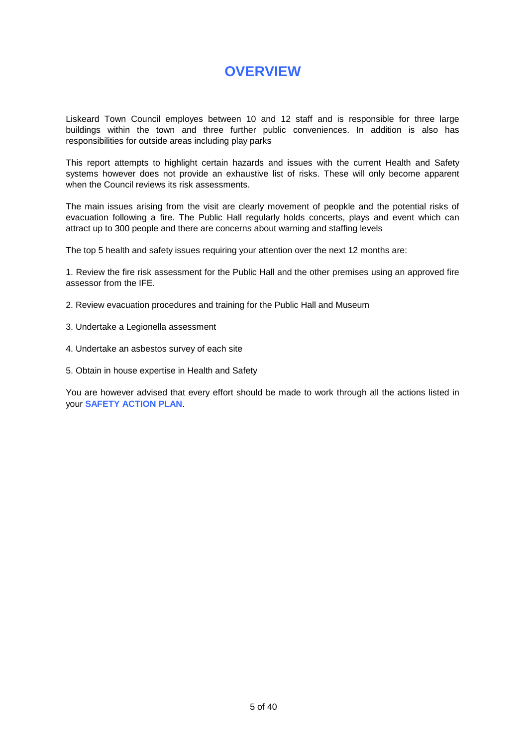## **OVERVIEW**

Liskeard Town Council employes between 10 and 12 staff and is responsible for three large buildings within the town and three further public conveniences. In addition is also has responsibilities for outside areas including play parks

This report attempts to highlight certain hazards and issues with the current Health and Safety systems however does not provide an exhaustive list of risks. These will only become apparent when the Council reviews its risk assessments.

The main issues arising from the visit are clearly movement of peopkle and the potential risks of evacuation following a fire. The Public Hall regularly holds concerts, plays and event which can attract up to 300 people and there are concerns about warning and staffing levels

The top 5 health and safety issues requiring your attention over the next 12 months are:

1. Review the fire risk assessment for the Public Hall and the other premises using an approved fire assessor from the IFE.

- 2. Review evacuation procedures and training for the Public Hall and Museum
- 3. Undertake a Legionella assessment
- 4. Undertake an asbestos survey of each site
- 5. Obtain in house expertise in Health and Safety

You are however advised that every effort should be made to work through all the actions listed in your **SAFETY ACTION PLAN**.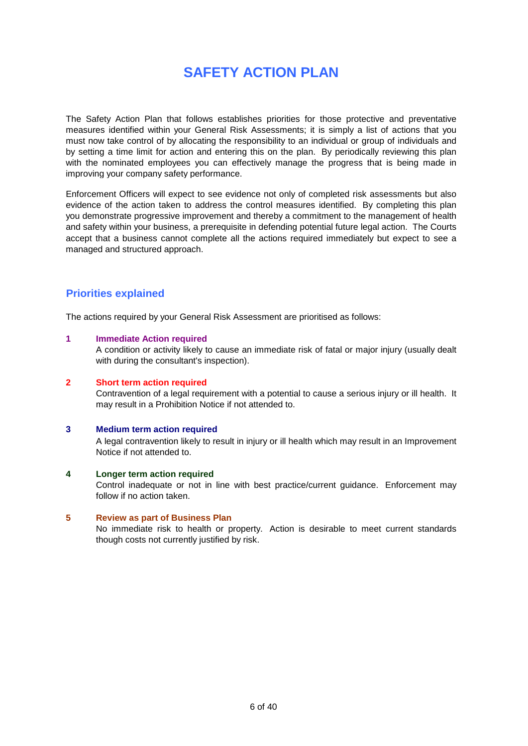## **SAFETY ACTION PLAN**

The Safety Action Plan that follows establishes priorities for those protective and preventative measures identified within your General Risk Assessments; it is simply a list of actions that you must now take control of by allocating the responsibility to an individual or group of individuals and by setting a time limit for action and entering this on the plan. By periodically reviewing this plan with the nominated employees you can effectively manage the progress that is being made in improving your company safety performance.

Enforcement Officers will expect to see evidence not only of completed risk assessments but also evidence of the action taken to address the control measures identified. By completing this plan you demonstrate progressive improvement and thereby a commitment to the management of health and safety within your business, a prerequisite in defending potential future legal action. The Courts accept that a business cannot complete all the actions required immediately but expect to see a managed and structured approach.

## **Priorities explained**

The actions required by your General Risk Assessment are prioritised as follows:

#### **1 Immediate Action required**

A condition or activity likely to cause an immediate risk of fatal or major injury (usually dealt with during the consultant's inspection).

#### **2 Short term action required**

Contravention of a legal requirement with a potential to cause a serious injury or ill health. It may result in a Prohibition Notice if not attended to.

#### **3 Medium term action required**

A legal contravention likely to result in injury or ill health which may result in an Improvement Notice if not attended to.

#### **4 Longer term action required**

Control inadequate or not in line with best practice/current guidance. Enforcement may follow if no action taken.

#### **5 Review as part of Business Plan**

No immediate risk to health or property. Action is desirable to meet current standards though costs not currently justified by risk.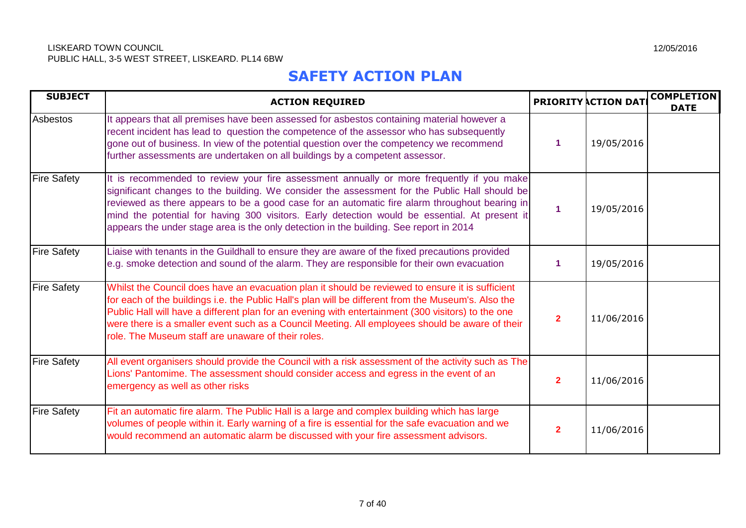## **SAFETY ACTION PLAN**

| <b>SUBJECT</b>     | <b>ACTION REQUIRED</b>                                                                                                                                                                                                                                                                                                                                                                                                                                                                |                      | <b>PRIORITY ACTION DAT</b> | <b>COMPLETION</b><br><b>DATE</b> |
|--------------------|---------------------------------------------------------------------------------------------------------------------------------------------------------------------------------------------------------------------------------------------------------------------------------------------------------------------------------------------------------------------------------------------------------------------------------------------------------------------------------------|----------------------|----------------------------|----------------------------------|
| Asbestos           | It appears that all premises have been assessed for asbestos containing material however a<br>recent incident has lead to question the competence of the assessor who has subsequently<br>gone out of business. In view of the potential question over the competency we recommend<br>further assessments are undertaken on all buildings by a competent assessor.                                                                                                                    |                      | 19/05/2016                 |                                  |
| <b>Fire Safety</b> | It is recommended to review your fire assessment annually or more frequently if you make<br>significant changes to the building. We consider the assessment for the Public Hall should be<br>reviewed as there appears to be a good case for an automatic fire alarm throughout bearing in<br>mind the potential for having 300 visitors. Early detection would be essential. At present it<br>appears the under stage area is the only detection in the building. See report in 2014 | $\blacktriangleleft$ | 19/05/2016                 |                                  |
| <b>Fire Safety</b> | Liaise with tenants in the Guildhall to ensure they are aware of the fixed precautions provided<br>e.g. smoke detection and sound of the alarm. They are responsible for their own evacuation                                                                                                                                                                                                                                                                                         |                      | 19/05/2016                 |                                  |
| <b>Fire Safety</b> | Whilst the Council does have an evacuation plan it should be reviewed to ensure it is sufficient<br>for each of the buildings i.e. the Public Hall's plan will be different from the Museum's. Also the<br>Public Hall will have a different plan for an evening with entertainment (300 visitors) to the one<br>were there is a smaller event such as a Council Meeting. All employees should be aware of their<br>role. The Museum staff are unaware of their roles.                | $\overline{2}$       | 11/06/2016                 |                                  |
| <b>Fire Safety</b> | All event organisers should provide the Council with a risk assessment of the activity such as The<br>Lions' Pantomime. The assessment should consider access and egress in the event of an<br>emergency as well as other risks                                                                                                                                                                                                                                                       | $\overline{2}$       | 11/06/2016                 |                                  |
| <b>Fire Safety</b> | Fit an automatic fire alarm. The Public Hall is a large and complex building which has large<br>volumes of people within it. Early warning of a fire is essential for the safe evacuation and we<br>would recommend an automatic alarm be discussed with your fire assessment advisors.                                                                                                                                                                                               | $\mathbf{2}$         | 11/06/2016                 |                                  |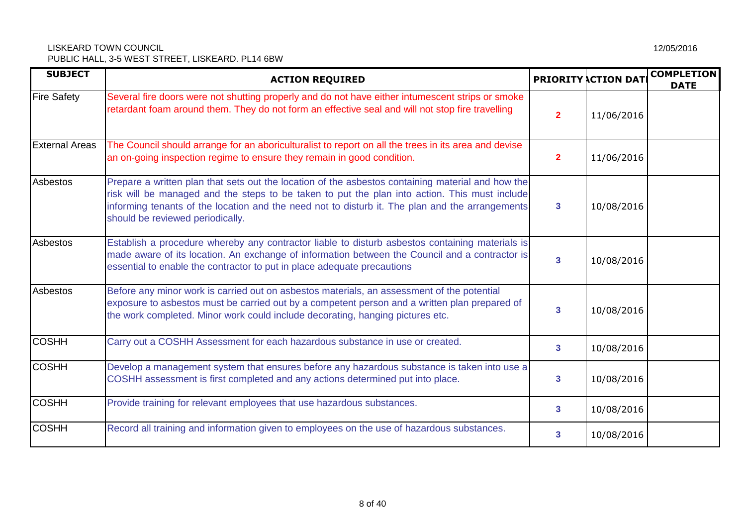| <b>SUBJECT</b>        | <b>ACTION REQUIRED</b>                                                                                                                                                                                                                                                                                                                    |                         | <b>PRIORITY ACTION DAT</b> | <b>COMPLETION</b><br><b>DATE</b> |
|-----------------------|-------------------------------------------------------------------------------------------------------------------------------------------------------------------------------------------------------------------------------------------------------------------------------------------------------------------------------------------|-------------------------|----------------------------|----------------------------------|
| <b>Fire Safety</b>    | Several fire doors were not shutting properly and do not have either intumescent strips or smoke<br>retardant foam around them. They do not form an effective seal and will not stop fire travelling                                                                                                                                      | $\overline{2}$          | 11/06/2016                 |                                  |
| <b>External Areas</b> | The Council should arrange for an aboriculturalist to report on all the trees in its area and devise<br>an on-going inspection regime to ensure they remain in good condition.                                                                                                                                                            | $\overline{\mathbf{2}}$ | 11/06/2016                 |                                  |
| Asbestos              | Prepare a written plan that sets out the location of the asbestos containing material and how the<br>risk will be managed and the steps to be taken to put the plan into action. This must include<br>informing tenants of the location and the need not to disturb it. The plan and the arrangements<br>should be reviewed periodically. | 3                       | 10/08/2016                 |                                  |
| Asbestos              | Establish a procedure whereby any contractor liable to disturb asbestos containing materials is<br>made aware of its location. An exchange of information between the Council and a contractor is<br>essential to enable the contractor to put in place adequate precautions                                                              | 3                       | 10/08/2016                 |                                  |
| Asbestos              | Before any minor work is carried out on asbestos materials, an assessment of the potential<br>exposure to asbestos must be carried out by a competent person and a written plan prepared of<br>the work completed. Minor work could include decorating, hanging pictures etc.                                                             |                         | 10/08/2016                 |                                  |
| <b>COSHH</b>          | Carry out a COSHH Assessment for each hazardous substance in use or created.                                                                                                                                                                                                                                                              | 3                       | 10/08/2016                 |                                  |
| <b>COSHH</b>          | Develop a management system that ensures before any hazardous substance is taken into use a<br>COSHH assessment is first completed and any actions determined put into place.                                                                                                                                                             |                         | 10/08/2016                 |                                  |
| <b>COSHH</b>          | Provide training for relevant employees that use hazardous substances.                                                                                                                                                                                                                                                                    | 3                       | 10/08/2016                 |                                  |
| <b>COSHH</b>          | Record all training and information given to employees on the use of hazardous substances.                                                                                                                                                                                                                                                | 3                       | 10/08/2016                 |                                  |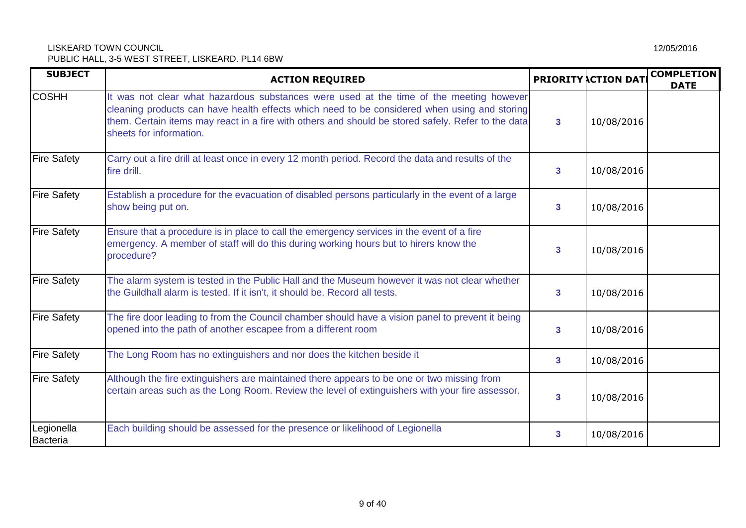| <b>SUBJECT</b>         | <b>ACTION REQUIRED</b>                                                                                                                                                                                                                                                                                                   |                | <b>PRIORITY ACTION DAT</b> | <b>COMPLETION</b><br><b>DATE</b> |
|------------------------|--------------------------------------------------------------------------------------------------------------------------------------------------------------------------------------------------------------------------------------------------------------------------------------------------------------------------|----------------|----------------------------|----------------------------------|
| <b>COSHH</b>           | It was not clear what hazardous substances were used at the time of the meeting however<br>cleaning products can have health effects which need to be considered when using and storing<br>them. Certain items may react in a fire with others and should be stored safely. Refer to the data<br>sheets for information. | $\mathbf{3}$   | 10/08/2016                 |                                  |
| <b>Fire Safety</b>     | Carry out a fire drill at least once in every 12 month period. Record the data and results of the<br>fire drill.                                                                                                                                                                                                         | 3 <sup>1</sup> | 10/08/2016                 |                                  |
| <b>Fire Safety</b>     | Establish a procedure for the evacuation of disabled persons particularly in the event of a large<br>show being put on.                                                                                                                                                                                                  | 3              | 10/08/2016                 |                                  |
| <b>Fire Safety</b>     | Ensure that a procedure is in place to call the emergency services in the event of a fire<br>emergency. A member of staff will do this during working hours but to hirers know the<br>procedure?                                                                                                                         | 3              | 10/08/2016                 |                                  |
| <b>Fire Safety</b>     | The alarm system is tested in the Public Hall and the Museum however it was not clear whether<br>the Guildhall alarm is tested. If it isn't, it should be. Record all tests.                                                                                                                                             | 3 <sup>1</sup> | 10/08/2016                 |                                  |
| <b>Fire Safety</b>     | The fire door leading to from the Council chamber should have a vision panel to prevent it being<br>opened into the path of another escapee from a different room                                                                                                                                                        | $\mathbf{3}$   | 10/08/2016                 |                                  |
| <b>Fire Safety</b>     | The Long Room has no extinguishers and nor does the kitchen beside it                                                                                                                                                                                                                                                    | $\mathbf{3}$   | 10/08/2016                 |                                  |
| <b>Fire Safety</b>     | Although the fire extinguishers are maintained there appears to be one or two missing from<br>certain areas such as the Long Room. Review the level of extinguishers with your fire assessor.                                                                                                                            | 3              | 10/08/2016                 |                                  |
| Legionella<br>Bacteria | Each building should be assessed for the presence or likelihood of Legionella                                                                                                                                                                                                                                            | 3              | 10/08/2016                 |                                  |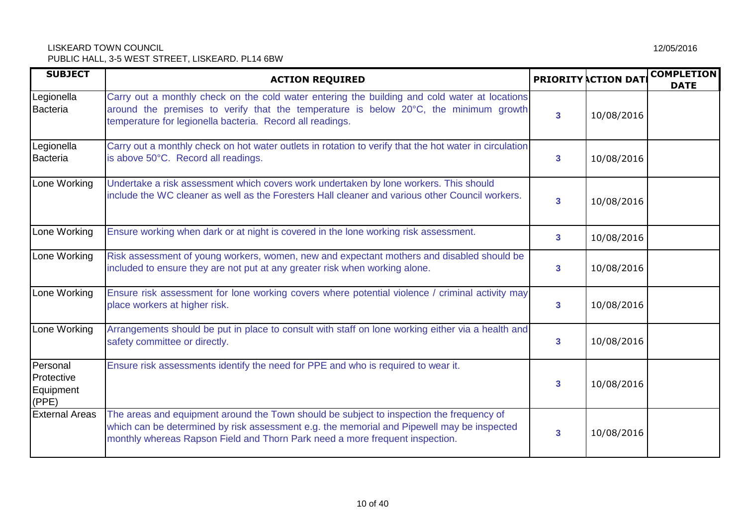| <b>SUBJECT</b>                               | <b>ACTION REQUIRED</b>                                                                                                                                                                                                                                                 |                | <b>PRIORITY ACTION DAT</b> | <b>COMPLETION</b><br><b>DATE</b> |  |
|----------------------------------------------|------------------------------------------------------------------------------------------------------------------------------------------------------------------------------------------------------------------------------------------------------------------------|----------------|----------------------------|----------------------------------|--|
| Legionella<br><b>Bacteria</b>                | Carry out a monthly check on the cold water entering the building and cold water at locations<br>around the premises to verify that the temperature is below 20°C, the minimum growth<br>temperature for legionella bacteria. Record all readings.                     | 3              | 10/08/2016                 |                                  |  |
| Legionella<br><b>Bacteria</b>                | Carry out a monthly check on hot water outlets in rotation to verify that the hot water in circulation<br>is above 50°C. Record all readings.                                                                                                                          | 3              | 10/08/2016                 |                                  |  |
| Lone Working                                 | Undertake a risk assessment which covers work undertaken by lone workers. This should<br>include the WC cleaner as well as the Foresters Hall cleaner and various other Council workers.                                                                               | 3              | 10/08/2016                 |                                  |  |
| Lone Working                                 | Ensure working when dark or at night is covered in the lone working risk assessment.                                                                                                                                                                                   | $\overline{3}$ | 10/08/2016                 |                                  |  |
| Lone Working                                 | Risk assessment of young workers, women, new and expectant mothers and disabled should be<br>included to ensure they are not put at any greater risk when working alone.                                                                                               | 3              | 10/08/2016                 |                                  |  |
| Lone Working                                 | Ensure risk assessment for lone working covers where potential violence / criminal activity may<br>place workers at higher risk.                                                                                                                                       | 3              | 10/08/2016                 |                                  |  |
| Lone Working                                 | Arrangements should be put in place to consult with staff on lone working either via a health and<br>safety committee or directly.                                                                                                                                     | 3              | 10/08/2016                 |                                  |  |
| Personal<br>Protective<br>Equipment<br>(PPE) | Ensure risk assessments identify the need for PPE and who is required to wear it.                                                                                                                                                                                      | 3              | 10/08/2016                 |                                  |  |
| <b>External Areas</b>                        | The areas and equipment around the Town should be subject to inspection the frequency of<br>which can be determined by risk assessment e.g. the memorial and Pipewell may be inspected<br>monthly whereas Rapson Field and Thorn Park need a more frequent inspection. | 3              | 10/08/2016                 |                                  |  |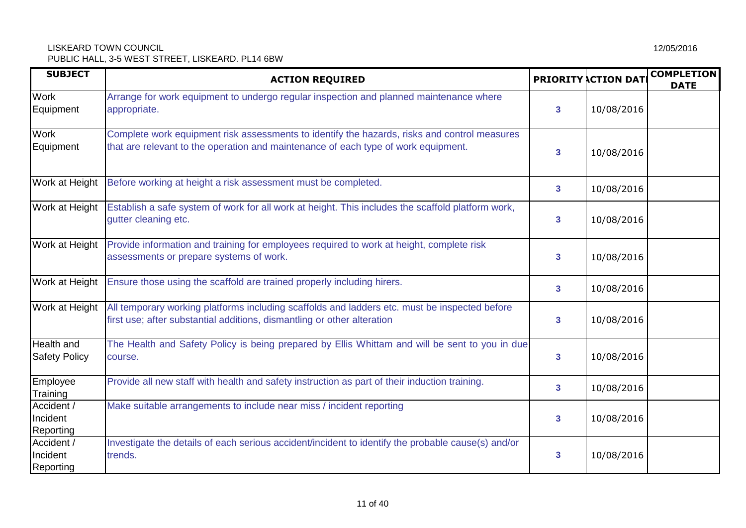| <b>SUBJECT</b>                            | <b>ACTION REQUIRED</b>                                                                                                                                                             |                         | <b>PRIORITY ACTION DAT</b> | <b>COMPLETION</b><br><b>DATE</b> |
|-------------------------------------------|------------------------------------------------------------------------------------------------------------------------------------------------------------------------------------|-------------------------|----------------------------|----------------------------------|
| <b>Work</b><br>Equipment                  | Arrange for work equipment to undergo regular inspection and planned maintenance where<br>appropriate.                                                                             | 3                       | 10/08/2016                 |                                  |
| Work<br>Equipment                         | Complete work equipment risk assessments to identify the hazards, risks and control measures<br>that are relevant to the operation and maintenance of each type of work equipment. | 3                       | 10/08/2016                 |                                  |
| Work at Height                            | Before working at height a risk assessment must be completed.                                                                                                                      | $\mathbf{3}$            | 10/08/2016                 |                                  |
| Work at Height                            | Establish a safe system of work for all work at height. This includes the scaffold platform work,<br>gutter cleaning etc.                                                          | $\overline{\mathbf{3}}$ | 10/08/2016                 |                                  |
| Work at Height                            | Provide information and training for employees required to work at height, complete risk<br>assessments or prepare systems of work.                                                | 3                       | 10/08/2016                 |                                  |
| Work at Height                            | Ensure those using the scaffold are trained properly including hirers.                                                                                                             | $\mathbf{3}$            | 10/08/2016                 |                                  |
| Work at Height                            | All temporary working platforms including scaffolds and ladders etc. must be inspected before<br>first use; after substantial additions, dismantling or other alteration           | $\overline{\mathbf{3}}$ | 10/08/2016                 |                                  |
| <b>Health and</b><br><b>Safety Policy</b> | The Health and Safety Policy is being prepared by Ellis Whittam and will be sent to you in due<br>course.                                                                          | 3                       | 10/08/2016                 |                                  |
| Employee<br>Training                      | Provide all new staff with health and safety instruction as part of their induction training.                                                                                      | 3                       | 10/08/2016                 |                                  |
| Accident /<br>Incident<br>Reporting       | Make suitable arrangements to include near miss / incident reporting                                                                                                               | $\overline{\mathbf{3}}$ | 10/08/2016                 |                                  |
| Accident /<br>Incident<br>Reporting       | Investigate the details of each serious accident/incident to identify the probable cause(s) and/or<br>trends.                                                                      | 3                       | 10/08/2016                 |                                  |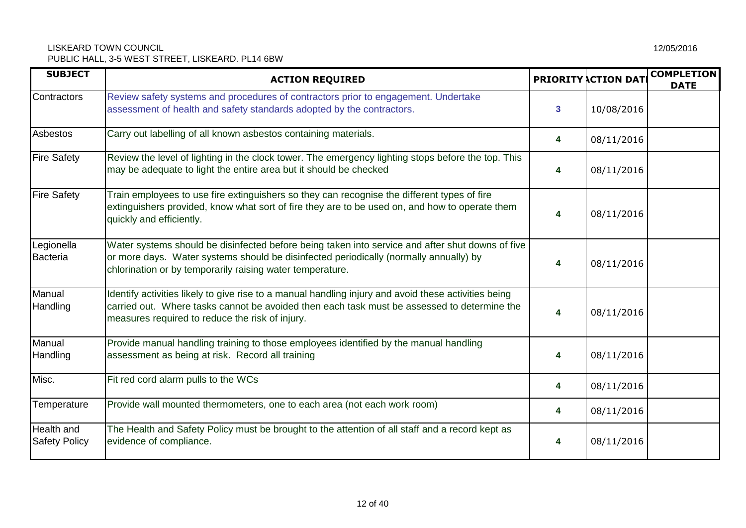| <b>SUBJECT</b>                     | <b>ACTION REQUIRED</b>                                                                                                                                                                                                                                 |   | <b>PRIORITY ACTION DATE</b> | <b>COMPLETION</b><br><b>DATE</b> |
|------------------------------------|--------------------------------------------------------------------------------------------------------------------------------------------------------------------------------------------------------------------------------------------------------|---|-----------------------------|----------------------------------|
| Contractors                        | Review safety systems and procedures of contractors prior to engagement. Undertake<br>assessment of health and safety standards adopted by the contractors.                                                                                            | 3 | 10/08/2016                  |                                  |
| Asbestos                           | Carry out labelling of all known asbestos containing materials.                                                                                                                                                                                        | 4 | 08/11/2016                  |                                  |
| <b>Fire Safety</b>                 | Review the level of lighting in the clock tower. The emergency lighting stops before the top. This<br>may be adequate to light the entire area but it should be checked                                                                                | 4 | 08/11/2016                  |                                  |
| <b>Fire Safety</b>                 | Train employees to use fire extinguishers so they can recognise the different types of fire<br>extinguishers provided, know what sort of fire they are to be used on, and how to operate them<br>quickly and efficiently.                              | 4 | 08/11/2016                  |                                  |
| Legionella<br>Bacteria             | Water systems should be disinfected before being taken into service and after shut downs of five<br>or more days. Water systems should be disinfected periodically (normally annually) by<br>chlorination or by temporarily raising water temperature. | 4 | 08/11/2016                  |                                  |
| Manual<br>Handling                 | Identify activities likely to give rise to a manual handling injury and avoid these activities being<br>carried out. Where tasks cannot be avoided then each task must be assessed to determine the<br>measures required to reduce the risk of injury. | 4 | 08/11/2016                  |                                  |
| Manual<br>Handling                 | Provide manual handling training to those employees identified by the manual handling<br>assessment as being at risk. Record all training                                                                                                              | 4 | 08/11/2016                  |                                  |
| Misc.                              | Fit red cord alarm pulls to the WCs                                                                                                                                                                                                                    | 4 | 08/11/2016                  |                                  |
| Temperature                        | Provide wall mounted thermometers, one to each area (not each work room)                                                                                                                                                                               | 4 | 08/11/2016                  |                                  |
| Health and<br><b>Safety Policy</b> | The Health and Safety Policy must be brought to the attention of all staff and a record kept as<br>evidence of compliance.                                                                                                                             | 4 | 08/11/2016                  |                                  |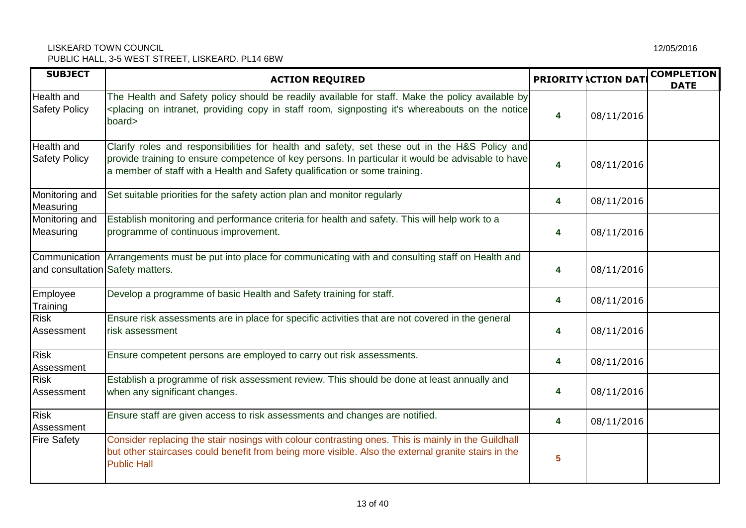| <b>SUBJECT</b>                            | <b>ACTION REQUIRED</b>                                                                                                                                                                                                                                                           |   | <b>PRIORITY ACTION DATE</b> | <b>COMPLETION</b><br><b>DATE</b> |
|-------------------------------------------|----------------------------------------------------------------------------------------------------------------------------------------------------------------------------------------------------------------------------------------------------------------------------------|---|-----------------------------|----------------------------------|
| <b>Health and</b><br><b>Safety Policy</b> | The Health and Safety policy should be readily available for staff. Make the policy available by<br><placing copy="" in="" intranet,="" it's="" notice<br="" on="" providing="" room,="" signposting="" staff="" the="" whereabouts="">board&gt;</placing>                       | 4 | 08/11/2016                  |                                  |
| <b>Health and</b><br><b>Safety Policy</b> | Clarify roles and responsibilities for health and safety, set these out in the H&S Policy and<br>provide training to ensure competence of key persons. In particular it would be advisable to have<br>a member of staff with a Health and Safety qualification or some training. | 4 | 08/11/2016                  |                                  |
| Monitoring and<br>Measuring               | Set suitable priorities for the safety action plan and monitor regularly                                                                                                                                                                                                         | 4 | 08/11/2016                  |                                  |
| Monitoring and<br>Measuring               | Establish monitoring and performance criteria for health and safety. This will help work to a<br>programme of continuous improvement.                                                                                                                                            | 4 | 08/11/2016                  |                                  |
|                                           | Communication Arrangements must be put into place for communicating with and consulting staff on Health and<br>and consultation Safety matters.                                                                                                                                  |   | 08/11/2016                  |                                  |
| Employee<br>Training                      | Develop a programme of basic Health and Safety training for staff.                                                                                                                                                                                                               | 4 | 08/11/2016                  |                                  |
| <b>Risk</b><br>Assessment                 | Ensure risk assessments are in place for specific activities that are not covered in the general<br>risk assessment                                                                                                                                                              | 4 | 08/11/2016                  |                                  |
| <b>Risk</b><br>Assessment                 | Ensure competent persons are employed to carry out risk assessments.                                                                                                                                                                                                             | 4 | 08/11/2016                  |                                  |
| <b>Risk</b><br>Assessment                 | Establish a programme of risk assessment review. This should be done at least annually and<br>when any significant changes.                                                                                                                                                      | 4 | 08/11/2016                  |                                  |
| <b>Risk</b><br>Assessment                 | Ensure staff are given access to risk assessments and changes are notified.                                                                                                                                                                                                      | 4 | 08/11/2016                  |                                  |
| <b>Fire Safety</b>                        | Consider replacing the stair nosings with colour contrasting ones. This is mainly in the Guildhall<br>but other staircases could benefit from being more visible. Also the external granite stairs in the<br><b>Public Hall</b>                                                  | 5 |                             |                                  |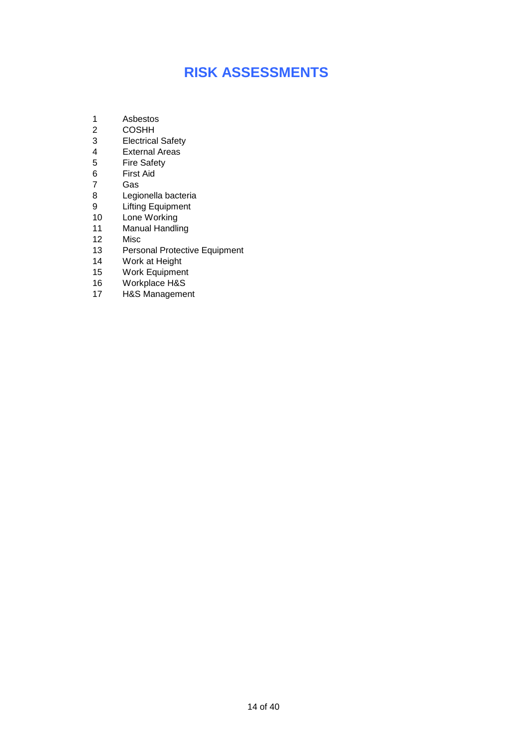## **RISK ASSESSMENTS**

- 1 Asbestos
- 2 COSHH
- 3 Electrical Safety<br>4 External Areas
- **External Areas**
- 5 Fire Safety<br>6 First Aid
- First Aid
- 7 Gas<br>8 Legi
- Legionella bacteria
- 9 Lifting Equipment
- 10 Lone Working
- 11 Manual Handling
- 12 Misc
- 13 Personal Protective Equipment
- 14 Work at Height
- 15 Work Equipment
- 16 Workplace H&S
- 17 H&S Management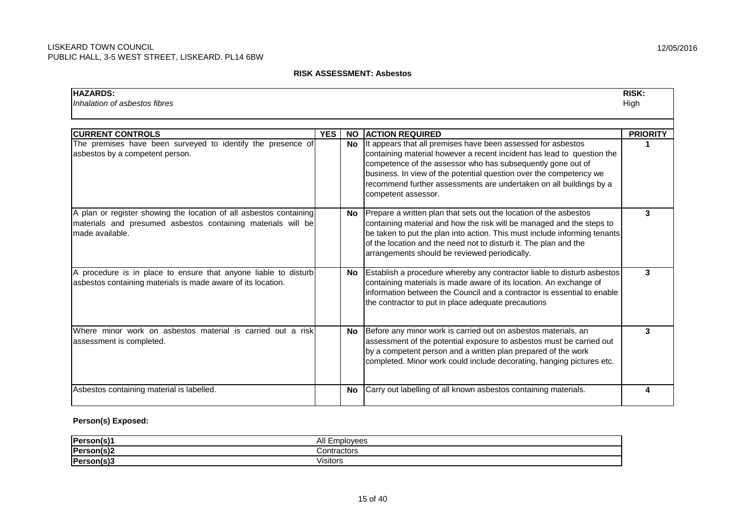#### **RISK ASSESSMENT: Asbestos**

| <b>HAZARDS:</b><br>Inhalation of asbestos fibres                                                                                                      |            |           |                                                                                                                                                                                                                                                                                                                                                                          | <b>RISK:</b><br>High |
|-------------------------------------------------------------------------------------------------------------------------------------------------------|------------|-----------|--------------------------------------------------------------------------------------------------------------------------------------------------------------------------------------------------------------------------------------------------------------------------------------------------------------------------------------------------------------------------|----------------------|
| <b>CURRENT CONTROLS</b>                                                                                                                               | <b>YES</b> | <b>NO</b> | <b>ACTION REQUIRED</b>                                                                                                                                                                                                                                                                                                                                                   | <b>PRIORITY</b>      |
| The premises have been surveyed to identify the presence of<br>asbestos by a competent person.                                                        |            | <b>No</b> | It appears that all premises have been assessed for asbestos<br>containing material however a recent incident has lead to question the<br>competence of the assessor who has subsequently gone out of<br>business. In view of the potential question over the competency we<br>recommend further assessments are undertaken on all buildings by a<br>competent assessor. |                      |
| A plan or register showing the location of all asbestos containing<br>materials and presumed asbestos containing materials will be<br>made available. |            | No.       | Prepare a written plan that sets out the location of the asbestos<br>containing material and how the risk will be managed and the steps to<br>be taken to put the plan into action. This must include informing tenants<br>of the location and the need not to disturb it. The plan and the<br>arrangements should be reviewed periodically.                             | 3                    |
| A procedure is in place to ensure that anyone liable to disturb<br>asbestos containing materials is made aware of its location.                       |            | No.       | Establish a procedure whereby any contractor liable to disturb asbestos<br>containing materials is made aware of its location. An exchange of<br>information between the Council and a contractor is essential to enable<br>the contractor to put in place adequate precautions                                                                                          | 3                    |
| Where minor work on asbestos material is carried out a risk<br>assessment is completed.                                                               |            | <b>No</b> | Before any minor work is carried out on asbestos materials, an<br>assessment of the potential exposure to asbestos must be carried out<br>by a competent person and a written plan prepared of the work<br>completed. Minor work could include decorating, hanging pictures etc.                                                                                         | 3                    |
| Asbestos containing material is labelled.                                                                                                             |            | <b>No</b> | Carry out labelling of all known asbestos containing materials.                                                                                                                                                                                                                                                                                                          |                      |

#### **Person(s) Exposed:**

| <b>IPerson</b> | All F<br>MQQC<br>,,,,<br>55 |
|----------------|-----------------------------|
| Person(s)2     | Contractors                 |
| Person(s)3     | lisitors                    |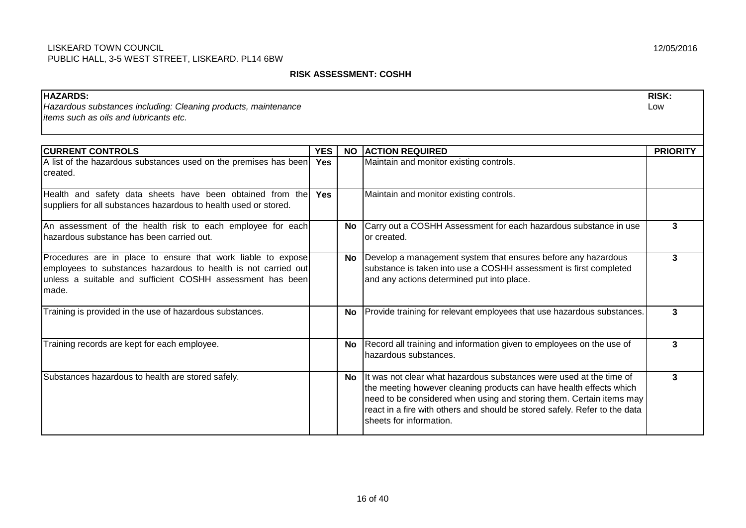#### **RISK ASSESSMENT: COSHH**

| <b>HAZARDS:</b><br>Hazardous substances including: Cleaning products, maintenance<br>items such as oils and lubricants etc.                                                                           |                   |           |                                                                                                                                                                                                                                                                                                                             | <b>RISK:</b><br>Low |
|-------------------------------------------------------------------------------------------------------------------------------------------------------------------------------------------------------|-------------------|-----------|-----------------------------------------------------------------------------------------------------------------------------------------------------------------------------------------------------------------------------------------------------------------------------------------------------------------------------|---------------------|
| <b>CURRENT CONTROLS</b>                                                                                                                                                                               |                   |           |                                                                                                                                                                                                                                                                                                                             |                     |
| A list of the hazardous substances used on the premises has been<br>Icreated.                                                                                                                         | <b>YES</b><br>Yes |           | NO ACTION REQUIRED<br>Maintain and monitor existing controls.                                                                                                                                                                                                                                                               | <b>PRIORITY</b>     |
| Health and safety data sheets have been obtained from the<br>suppliers for all substances hazardous to health used or stored.                                                                         | <b>Yes</b>        |           | Maintain and monitor existing controls.                                                                                                                                                                                                                                                                                     |                     |
| An assessment of the health risk to each employee for each<br>Ihazardous substance has been carried out.                                                                                              |                   | No.       | Carry out a COSHH Assessment for each hazardous substance in use<br>or created.                                                                                                                                                                                                                                             | 3                   |
| Procedures are in place to ensure that work liable to expose<br>employees to substances hazardous to health is not carried out<br>unless a suitable and sufficient COSHH assessment has been<br>made. |                   | <b>No</b> | Develop a management system that ensures before any hazardous<br>substance is taken into use a COSHH assessment is first completed<br>and any actions determined put into place.                                                                                                                                            | 3                   |
| Training is provided in the use of hazardous substances.                                                                                                                                              |                   | <b>No</b> | Provide training for relevant employees that use hazardous substances.                                                                                                                                                                                                                                                      | 3                   |
| Training records are kept for each employee.                                                                                                                                                          |                   | <b>No</b> | Record all training and information given to employees on the use of<br>hazardous substances.                                                                                                                                                                                                                               | 3                   |
| Substances hazardous to health are stored safely.                                                                                                                                                     |                   | No.       | It was not clear what hazardous substances were used at the time of<br>the meeting however cleaning products can have health effects which<br>need to be considered when using and storing them. Certain items may<br>react in a fire with others and should be stored safely. Refer to the data<br>sheets for information. | 3                   |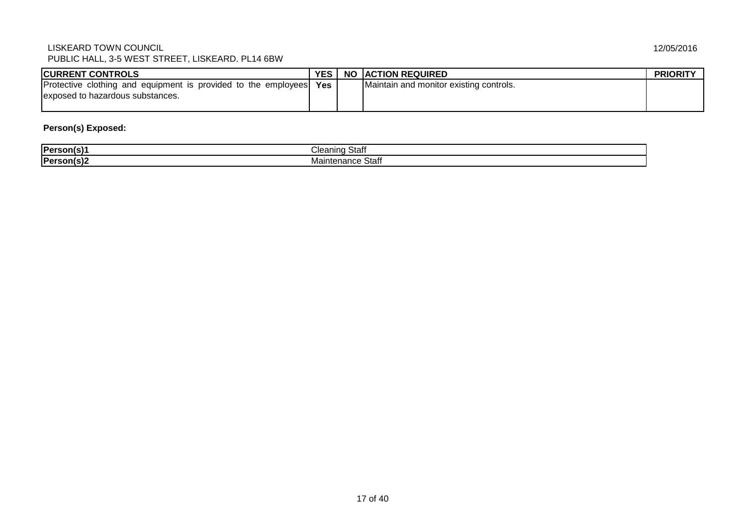| <b>CURRENT CONTROLS</b>                                        | <b>YES</b> | <b>NO IACTION REQUIRED</b>              | <b>PRIORITY</b> |
|----------------------------------------------------------------|------------|-----------------------------------------|-----------------|
| Protective clothing and equipment is provided to the employees | Yes        | Maintain and monitor existing controls. |                 |
| Jexposed to hazardous substances.                              |            |                                         |                 |
|                                                                |            |                                         |                 |

#### **Person(s) Exposed:**

| <b>IPerson</b> | <br>Inon<br>111 IC<br>υιαι<br>. .<br>wu |
|----------------|-----------------------------------------|
| <b>IPerson</b> | e Stafi                                 |
| ,,,            | Maintenance                             |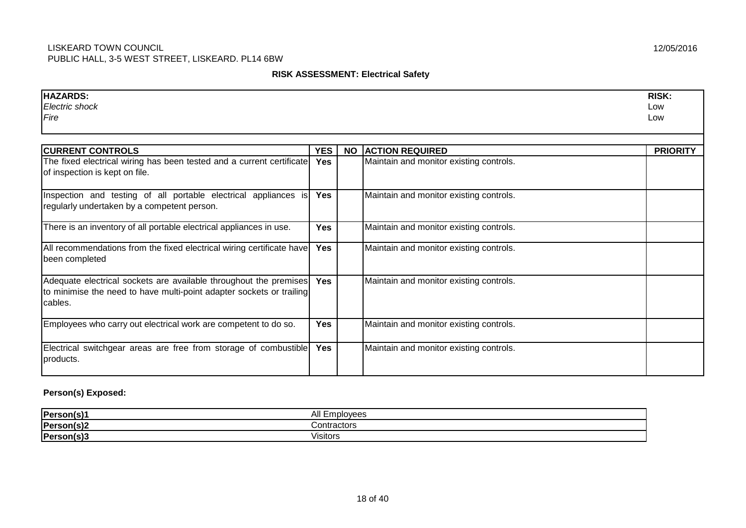#### **RISK ASSESSMENT: Electrical Safety**

| <b>HAZARDS:</b>                                                       |            |           |                                         | <b>RISK:</b>    |
|-----------------------------------------------------------------------|------------|-----------|-----------------------------------------|-----------------|
| Electric shock                                                        |            |           |                                         | Low             |
| Fire                                                                  |            |           |                                         | Low             |
|                                                                       |            |           |                                         |                 |
|                                                                       |            |           |                                         |                 |
| <b>CURRENT CONTROLS</b>                                               | <b>YES</b> | <b>NO</b> | <b>ACTION REQUIRED</b>                  | <b>PRIORITY</b> |
| The fixed electrical wiring has been tested and a current certificate | <b>Yes</b> |           | Maintain and monitor existing controls. |                 |
| of inspection is kept on file.                                        |            |           |                                         |                 |
|                                                                       |            |           |                                         |                 |
| Inspection and testing of all portable electrical appliances is       | <b>Yes</b> |           | Maintain and monitor existing controls. |                 |
| regularly undertaken by a competent person.                           |            |           |                                         |                 |
|                                                                       |            |           |                                         |                 |
| There is an inventory of all portable electrical appliances in use.   | Yes        |           | Maintain and monitor existing controls. |                 |
|                                                                       |            |           |                                         |                 |
| All recommendations from the fixed electrical wiring certificate have | <b>Yes</b> |           | Maintain and monitor existing controls. |                 |
| been completed                                                        |            |           |                                         |                 |
|                                                                       |            |           |                                         |                 |
| Adequate electrical sockets are available throughout the premises     | <b>Yes</b> |           | Maintain and monitor existing controls. |                 |
| to minimise the need to have multi-point adapter sockets or trailing  |            |           |                                         |                 |
| cables.                                                               |            |           |                                         |                 |
|                                                                       |            |           |                                         |                 |
| Employees who carry out electrical work are competent to do so.       | <b>Yes</b> |           | Maintain and monitor existing controls. |                 |
|                                                                       |            |           |                                         |                 |
| Electrical switchgear areas are free from storage of combustible      | <b>Yes</b> |           | Maintain and monitor existing controls. |                 |
| products.                                                             |            |           |                                         |                 |
|                                                                       |            |           |                                         |                 |

## **Person(s) Exposed:**

| <b>IPerson</b><br>$-$ 61.   | All E<br>1000<br>טסא             |
|-----------------------------|----------------------------------|
| <b>IPerson</b>              | `ontro <i>o</i> tr<br>™itiaCtor∈ |
| <b>IPerson</b><br>.<br>. יש | <br>/isitors                     |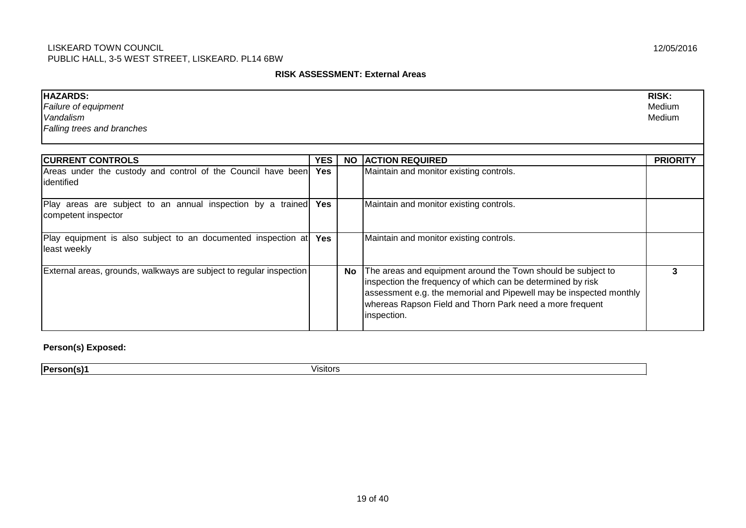#### **RISK ASSESSMENT: External Areas**

| <b>HAZARDS:</b>                   | <b>RISK:</b> |
|-----------------------------------|--------------|
| Failure of equipment              | Medium       |
| Vandalism                         | Medium       |
| <b>Falling trees and branches</b> |              |

| <b>CURRENT CONTROLS</b>                                                                | <b>YES</b> | <b>NO</b> | <b>ACTION REQUIRED</b>                                                                                                                                                                                                                                                       | <b>PRIORITY</b> |
|----------------------------------------------------------------------------------------|------------|-----------|------------------------------------------------------------------------------------------------------------------------------------------------------------------------------------------------------------------------------------------------------------------------------|-----------------|
| Areas under the custody and control of the Council have been Yes<br>lidentified        |            |           | Maintain and monitor existing controls.                                                                                                                                                                                                                                      |                 |
| Play areas are subject to an annual inspection by a trained Yes<br>competent inspector |            |           | Maintain and monitor existing controls.                                                                                                                                                                                                                                      |                 |
| Play equipment is also subject to an documented inspection at Yes<br>least weekly      |            |           | Maintain and monitor existing controls.                                                                                                                                                                                                                                      |                 |
| External areas, grounds, walkways are subject to regular inspection                    |            | No        | The areas and equipment around the Town should be subject to<br>inspection the frequency of which can be determined by risk<br>assessment e.g. the memorial and Pipewell may be inspected monthly<br>whereas Rapson Field and Thorn Park need a more frequent<br>inspection. |                 |

**Person(s) Exposed:**

**Person(s)1** Visitors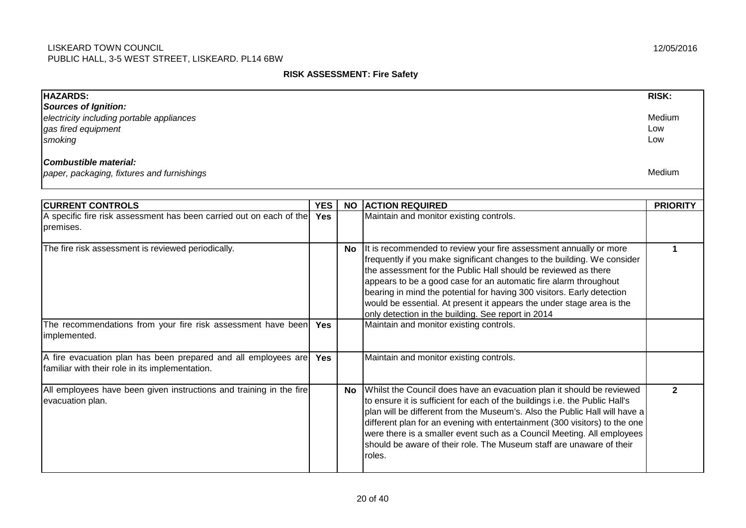#### **RISK ASSESSMENT: Fire Safety**

| <b>HAZARDS:</b>                                                                                                   |            |           |                                                                                                                                                                                                                                                                                                                                                                                                                                                                                             | <b>RISK:</b>         |
|-------------------------------------------------------------------------------------------------------------------|------------|-----------|---------------------------------------------------------------------------------------------------------------------------------------------------------------------------------------------------------------------------------------------------------------------------------------------------------------------------------------------------------------------------------------------------------------------------------------------------------------------------------------------|----------------------|
| <b>Sources of Ignition:</b>                                                                                       |            |           |                                                                                                                                                                                                                                                                                                                                                                                                                                                                                             |                      |
| electricity including portable appliances                                                                         |            |           |                                                                                                                                                                                                                                                                                                                                                                                                                                                                                             | Medium               |
| gas fired equipment                                                                                               |            |           |                                                                                                                                                                                                                                                                                                                                                                                                                                                                                             | Low                  |
| smoking                                                                                                           |            |           |                                                                                                                                                                                                                                                                                                                                                                                                                                                                                             | Low                  |
| Combustible material:<br>paper, packaging, fixtures and furnishings                                               |            |           |                                                                                                                                                                                                                                                                                                                                                                                                                                                                                             | Medium               |
|                                                                                                                   |            |           |                                                                                                                                                                                                                                                                                                                                                                                                                                                                                             |                      |
| <b>CURRENT CONTROLS</b>                                                                                           | <b>YES</b> | <b>NO</b> | <b>ACTION REQUIRED</b>                                                                                                                                                                                                                                                                                                                                                                                                                                                                      | <b>PRIORITY</b>      |
| A specific fire risk assessment has been carried out on each of the Yes<br>premises.                              |            |           | Maintain and monitor existing controls.                                                                                                                                                                                                                                                                                                                                                                                                                                                     |                      |
| The fire risk assessment is reviewed periodically.                                                                |            | <b>No</b> | It is recommended to review your fire assessment annually or more<br>frequently if you make significant changes to the building. We consider<br>the assessment for the Public Hall should be reviewed as there<br>appears to be a good case for an automatic fire alarm throughout<br>bearing in mind the potential for having 300 visitors. Early detection<br>would be essential. At present it appears the under stage area is the<br>only detection in the building. See report in 2014 | $\blacktriangleleft$ |
| The recommendations from your fire risk assessment have been<br>implemented.                                      | Yes        |           | Maintain and monitor existing controls.                                                                                                                                                                                                                                                                                                                                                                                                                                                     |                      |
| A fire evacuation plan has been prepared and all employees are<br>familiar with their role in its implementation. | Yes        |           | Maintain and monitor existing controls.                                                                                                                                                                                                                                                                                                                                                                                                                                                     |                      |
| All employees have been given instructions and training in the fire<br>evacuation plan.                           |            | <b>No</b> | Whilst the Council does have an evacuation plan it should be reviewed<br>to ensure it is sufficient for each of the buildings i.e. the Public Hall's<br>plan will be different from the Museum's. Also the Public Hall will have a<br>different plan for an evening with entertainment (300 visitors) to the one<br>were there is a smaller event such as a Council Meeting. All employees<br>should be aware of their role. The Museum staff are unaware of their<br>roles.                | $\overline{2}$       |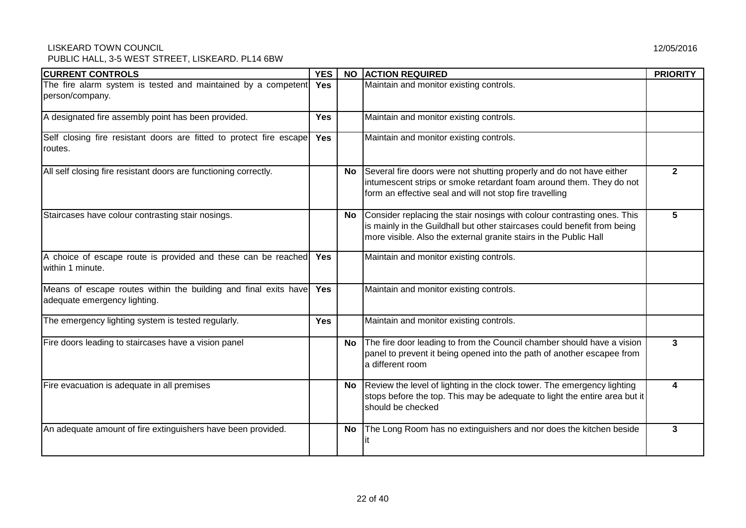## LISKEARD TOWN COUNCIL

PUBLIC HALL, 3-5 WEST STREET, LISKEARD. PL14 6BW

| <b>CURRENT CONTROLS</b>                                                                         | <b>YES</b> | <b>NO</b> | <b>ACTION REQUIRED</b>                                                                                                                                                                                                   | <b>PRIORITY</b> |
|-------------------------------------------------------------------------------------------------|------------|-----------|--------------------------------------------------------------------------------------------------------------------------------------------------------------------------------------------------------------------------|-----------------|
| The fire alarm system is tested and maintained by a competent<br>person/company.                | Yes        |           | Maintain and monitor existing controls.                                                                                                                                                                                  |                 |
| A designated fire assembly point has been provided.                                             | <b>Yes</b> |           | Maintain and monitor existing controls.                                                                                                                                                                                  |                 |
| Self closing fire resistant doors are fitted to protect fire escape<br>routes.                  | <b>Yes</b> |           | Maintain and monitor existing controls.                                                                                                                                                                                  |                 |
| All self closing fire resistant doors are functioning correctly.                                |            | No        | Several fire doors were not shutting properly and do not have either<br>intumescent strips or smoke retardant foam around them. They do not<br>form an effective seal and will not stop fire travelling                  | $\mathbf{2}$    |
| Staircases have colour contrasting stair nosings.                                               |            | No        | Consider replacing the stair nosings with colour contrasting ones. This<br>is mainly in the Guildhall but other staircases could benefit from being<br>more visible. Also the external granite stairs in the Public Hall | 5               |
| A choice of escape route is provided and these can be reached<br>within 1 minute.               | Yes        |           | Maintain and monitor existing controls.                                                                                                                                                                                  |                 |
| Means of escape routes within the building and final exits have<br>adequate emergency lighting. | <b>Yes</b> |           | Maintain and monitor existing controls.                                                                                                                                                                                  |                 |
| The emergency lighting system is tested regularly.                                              | <b>Yes</b> |           | Maintain and monitor existing controls.                                                                                                                                                                                  |                 |
| Fire doors leading to staircases have a vision panel                                            |            | No.       | The fire door leading to from the Council chamber should have a vision<br>panel to prevent it being opened into the path of another escapee from<br>a different room                                                     | $\mathbf{3}$    |
| Fire evacuation is adequate in all premises                                                     |            | No        | Review the level of lighting in the clock tower. The emergency lighting<br>stops before the top. This may be adequate to light the entire area but it<br>should be checked                                               | 4               |
| An adequate amount of fire extinguishers have been provided.                                    |            | No.       | The Long Room has no extinguishers and nor does the kitchen beside                                                                                                                                                       | 3               |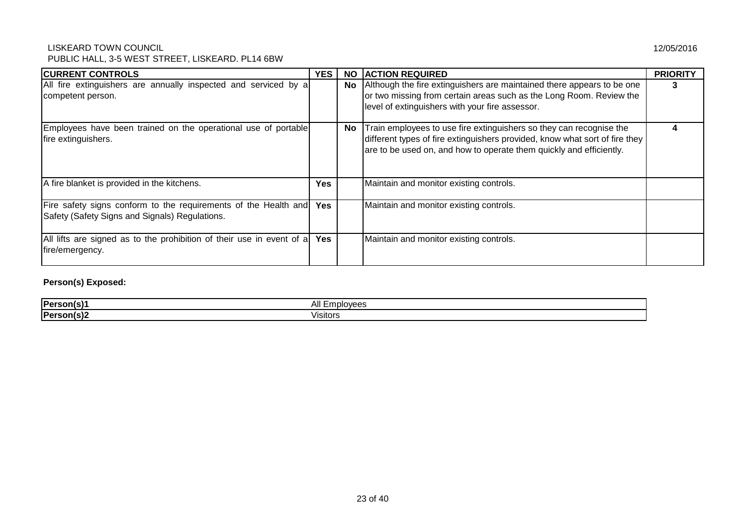## LISKEARD TOWN COUNCIL

PUBLIC HALL, 3-5 WEST STREET, LISKEARD. PL14 6BW

| <b>CURRENT CONTROLS</b>                                                                                           | YES        | <b>NO</b> | <b>ACTION REQUIRED</b>                                                                                                                                                                                                    | <b>PRIORITY</b> |
|-------------------------------------------------------------------------------------------------------------------|------------|-----------|---------------------------------------------------------------------------------------------------------------------------------------------------------------------------------------------------------------------------|-----------------|
| All fire extinguishers are annually inspected and serviced by a<br>competent person.                              |            | No        | Although the fire extinguishers are maintained there appears to be one<br>or two missing from certain areas such as the Long Room. Review the<br>level of extinguishers with your fire assessor.                          | 3               |
| Employees have been trained on the operational use of portable<br>fire extinguishers.                             |            | <b>No</b> | Train employees to use fire extinguishers so they can recognise the<br>different types of fire extinguishers provided, know what sort of fire they<br>are to be used on, and how to operate them quickly and efficiently. |                 |
| A fire blanket is provided in the kitchens.                                                                       | Yes        |           | Maintain and monitor existing controls.                                                                                                                                                                                   |                 |
| Fire safety signs conform to the requirements of the Health and<br>Safety (Safety Signs and Signals) Regulations. | Yes        |           | Maintain and monitor existing controls.                                                                                                                                                                                   |                 |
| All lifts are signed as to the prohibition of their use in event of a<br>fire/emergency.                          | <b>Yes</b> |           | Maintain and monitor existing controls.                                                                                                                                                                                   |                 |

## **Person(s) Exposed:**

| <b>IPers</b> | .  .<br>מ∧ר<br>.    |
|--------------|---------------------|
| 'Darconi     | .<br>.<br>⊇ Visito∟ |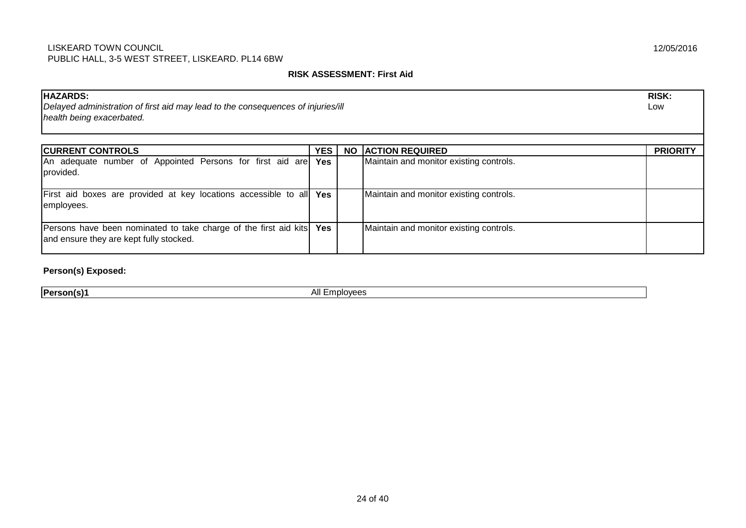#### **RISK ASSESSMENT: First Aid**

| <b>HAZARDS:</b><br><b>RISK:</b><br>Delayed administration of first aid may lead to the consequences of injuries/ill<br>Low<br>health being exacerbated. |            |           |                                         |                 |  |
|---------------------------------------------------------------------------------------------------------------------------------------------------------|------------|-----------|-----------------------------------------|-----------------|--|
| <b>CURRENT CONTROLS</b>                                                                                                                                 | <b>YES</b> | <b>NO</b> | <b>ACTION REQUIRED</b>                  | <b>PRIORITY</b> |  |
| An adequate number of Appointed Persons for first aid are Yes<br>provided.                                                                              |            |           | Maintain and monitor existing controls. |                 |  |
| First aid boxes are provided at key locations accessible to all Yes<br>employees.                                                                       |            |           | Maintain and monitor existing controls. |                 |  |
| Persons have been nominated to take charge of the first aid kits Yes<br>and ensure they are kept fully stocked.                                         |            |           | Maintain and monitor existing controls. |                 |  |

**Person(s) Exposed:**

**Person(s)1** All Employees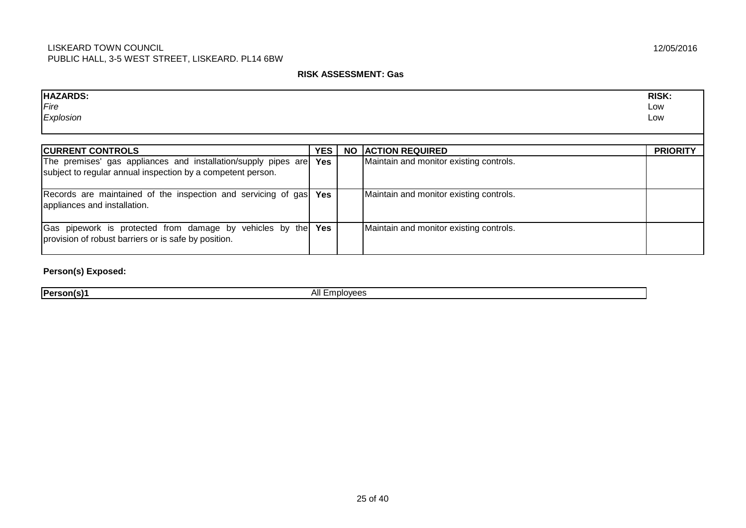#### **RISK ASSESSMENT: Gas**

| <b>HAZARDS:</b><br><i><b>IFire</b></i><br>Explosion                                                                           |            |           |                                         | <b>RISK:</b><br>Low<br>Low |
|-------------------------------------------------------------------------------------------------------------------------------|------------|-----------|-----------------------------------------|----------------------------|
| <b>CURRENT CONTROLS</b>                                                                                                       | YES        | <b>NO</b> | <b>ACTION REQUIRED</b>                  | <b>PRIORITY</b>            |
| The premises' gas appliances and installation/supply pipes are<br>subject to regular annual inspection by a competent person. | Yes        |           | Maintain and monitor existing controls. |                            |
| Records are maintained of the inspection and servicing of gas<br>appliances and installation.                                 | <b>Yes</b> |           | Maintain and monitor existing controls. |                            |
| Gas pipework is protected from damage by vehicles by the<br>provision of robust barriers or is safe by position.              | Yes        |           | Maintain and monitor existing controls. |                            |

**Person(s) Exposed:**

**Person(s)1** All Employees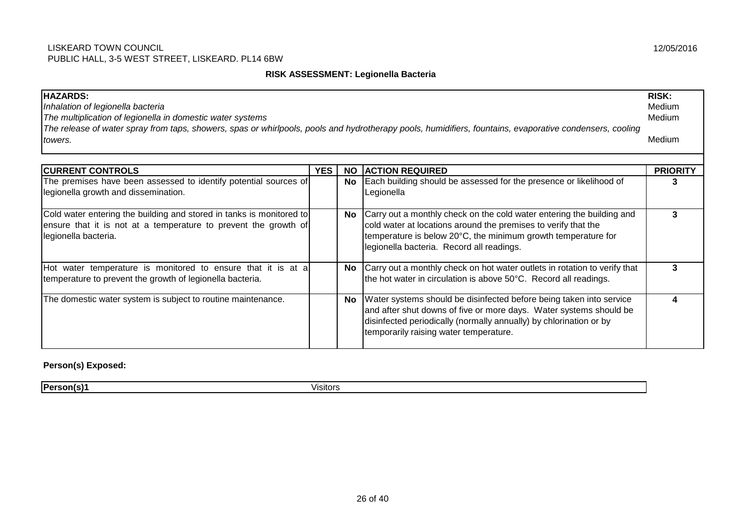#### **RISK ASSESSMENT: Legionella Bacteria**

| <b>HAZARDS:</b><br><b>RISK:</b><br>Medium<br>Inhalation of legionella bacteria<br>The multiplication of legionella in domestic water systems<br>Medium<br>The release of water spray from taps, showers, spas or whirlpools, pools and hydrotherapy pools, humidifiers, fountains, evaporative condensers, cooling<br>Medium<br>towers. |            |           |                                                                                                                                                                                                                                                           |                 |
|-----------------------------------------------------------------------------------------------------------------------------------------------------------------------------------------------------------------------------------------------------------------------------------------------------------------------------------------|------------|-----------|-----------------------------------------------------------------------------------------------------------------------------------------------------------------------------------------------------------------------------------------------------------|-----------------|
| <b>CURRENT CONTROLS</b>                                                                                                                                                                                                                                                                                                                 | <b>YES</b> | <b>NO</b> | <b>ACTION REQUIRED</b>                                                                                                                                                                                                                                    | <b>PRIORITY</b> |
| The premises have been assessed to identify potential sources of<br>legionella growth and dissemination.                                                                                                                                                                                                                                |            | No        | Each building should be assessed for the presence or likelihood of<br>Legionella                                                                                                                                                                          | 3               |
| Cold water entering the building and stored in tanks is monitored to<br>ensure that it is not at a temperature to prevent the growth of<br>legionella bacteria.                                                                                                                                                                         |            | No        | Carry out a monthly check on the cold water entering the building and<br>cold water at locations around the premises to verify that the<br>temperature is below 20°C, the minimum growth temperature for<br>legionella bacteria. Record all readings.     | 3               |
| Hot water temperature is monitored to ensure that it is at a<br>temperature to prevent the growth of legionella bacteria.                                                                                                                                                                                                               |            |           | No Carry out a monthly check on hot water outlets in rotation to verify that<br>the hot water in circulation is above 50°C. Record all readings.                                                                                                          | 3               |
| The domestic water system is subject to routine maintenance.                                                                                                                                                                                                                                                                            |            | No        | Water systems should be disinfected before being taken into service<br>and after shut downs of five or more days. Water systems should be<br>disinfected periodically (normally annually) by chlorination or by<br>temporarily raising water temperature. | 4               |

**Person(s) Exposed:**

**Person(s)1** Visitors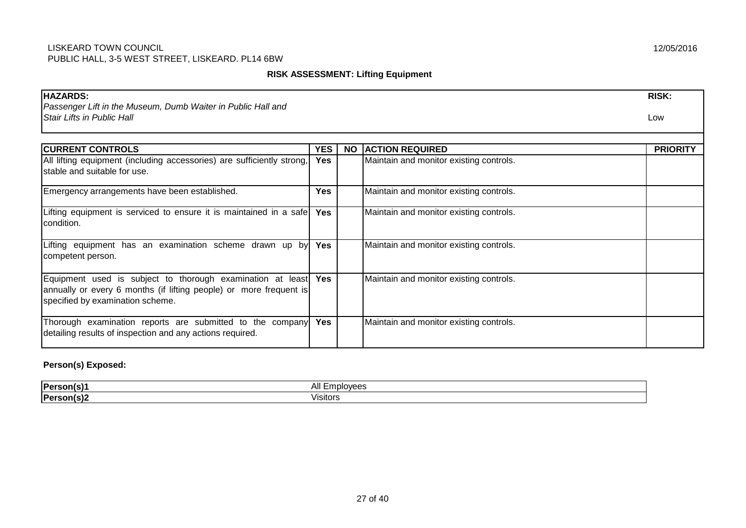#### **RISK ASSESSMENT: Lifting Equipment**

| <b>HAZARDS:</b>                                                        |            |           |                                         | <b>RISK:</b>    |
|------------------------------------------------------------------------|------------|-----------|-----------------------------------------|-----------------|
| Passenger Lift in the Museum, Dumb Waiter in Public Hall and           |            |           |                                         |                 |
| Stair Lifts in Public Hall                                             |            |           |                                         | Low             |
|                                                                        |            |           |                                         |                 |
| <b>CURRENT CONTROLS</b>                                                | <b>YES</b> | <b>NO</b> | <b>ACTION REQUIRED</b>                  | <b>PRIORITY</b> |
| All lifting equipment (including accessories) are sufficiently strong, | <b>Yes</b> |           | Maintain and monitor existing controls. |                 |
| stable and suitable for use.                                           |            |           |                                         |                 |
| Emergency arrangements have been established.                          | <b>Yes</b> |           | Maintain and monitor existing controls. |                 |
| Lifting equipment is serviced to ensure it is maintained in a safe     | <b>Yes</b> |           | Maintain and monitor existing controls. |                 |
| condition.                                                             |            |           |                                         |                 |
| Lifting equipment has an examination scheme drawn up by                | Yes        |           | Maintain and monitor existing controls. |                 |
| competent person.                                                      |            |           |                                         |                 |
| Equipment used is subject to thorough examination at least Yes         |            |           | Maintain and monitor existing controls. |                 |
| annually or every 6 months (if lifting people) or more frequent is     |            |           |                                         |                 |
| specified by examination scheme.                                       |            |           |                                         |                 |
| Thorough examination reports are submitted to the company              | <b>Yes</b> |           | Maintain and monitor existing controls. |                 |
| detailing results of inspection and any actions required.              |            |           |                                         |                 |

**Person(s) Exposed:**

| <b>IPers</b>           | ۹I<br>$\sim$<br>uu |
|------------------------|--------------------|
| <b>IPers</b><br>.<br>- | <br>Visitors       |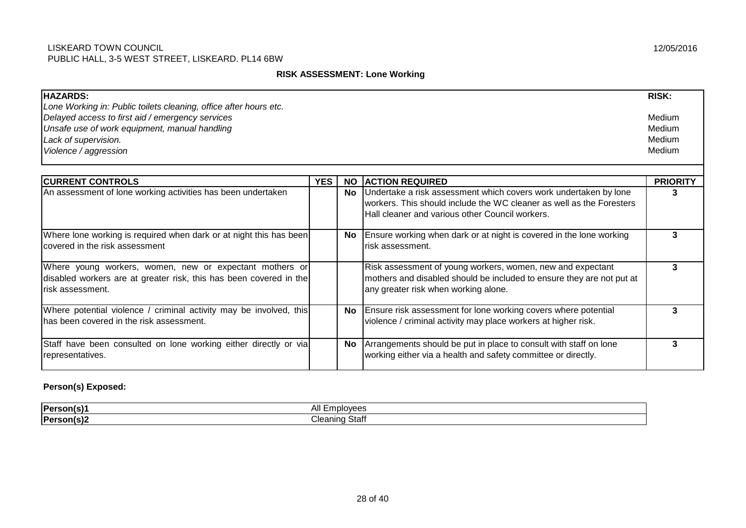#### **RISK ASSESSMENT: Lone Working**

| <b>HAZARDS:</b>                                                                                                                                   |            |           |                                                                                                                                                                                                | <b>RISK:</b>    |  |
|---------------------------------------------------------------------------------------------------------------------------------------------------|------------|-----------|------------------------------------------------------------------------------------------------------------------------------------------------------------------------------------------------|-----------------|--|
| Lone Working in: Public toilets cleaning, office after hours etc.                                                                                 |            |           |                                                                                                                                                                                                |                 |  |
| Delayed access to first aid / emergency services                                                                                                  |            |           |                                                                                                                                                                                                | Medium          |  |
| Unsafe use of work equipment, manual handling                                                                                                     |            |           |                                                                                                                                                                                                | Medium          |  |
| Lack of supervision.                                                                                                                              |            |           |                                                                                                                                                                                                | Medium          |  |
| Violence / aggression                                                                                                                             |            |           |                                                                                                                                                                                                |                 |  |
|                                                                                                                                                   |            |           |                                                                                                                                                                                                |                 |  |
| <b>CURRENT CONTROLS</b>                                                                                                                           | <b>YES</b> | <b>NO</b> | <b>ACTION REQUIRED</b>                                                                                                                                                                         | <b>PRIORITY</b> |  |
| An assessment of lone working activities has been undertaken                                                                                      |            |           | No Undertake a risk assessment which covers work undertaken by lone<br>workers. This should include the WC cleaner as well as the Foresters<br>Hall cleaner and various other Council workers. | 3               |  |
| Where lone working is required when dark or at night this has been<br>Icovered in the risk assessment                                             |            | No l      | Ensure working when dark or at night is covered in the lone working<br>risk assessment.                                                                                                        | 3               |  |
| Where young workers, women, new or expectant mothers or<br>disabled workers are at greater risk, this has been covered in the<br>risk assessment. |            |           | Risk assessment of young workers, women, new and expectant<br>mothers and disabled should be included to ensure they are not put at<br>any greater risk when working alone.                    | 3               |  |
| Where potential violence / criminal activity may be involved, this<br>has been covered in the risk assessment.                                    |            | No l      | Ensure risk assessment for lone working covers where potential<br>violence / criminal activity may place workers at higher risk.                                                               | 3               |  |
| Staff have been consulted on lone working either directly or via<br>representatives.                                                              |            | <b>No</b> | Arrangements should be put in place to consult with staff on lone<br>working either via a health and safety committee or directly.                                                             | 3               |  |

## **Person(s) Exposed:**

| <b>IPerson</b>       | All<br>$\sim$ 11/2 $\sim$<br>. |
|----------------------|--------------------------------|
| <b>IPerson</b><br>,, | Staf<br>$ -$<br><b>Aning</b>   |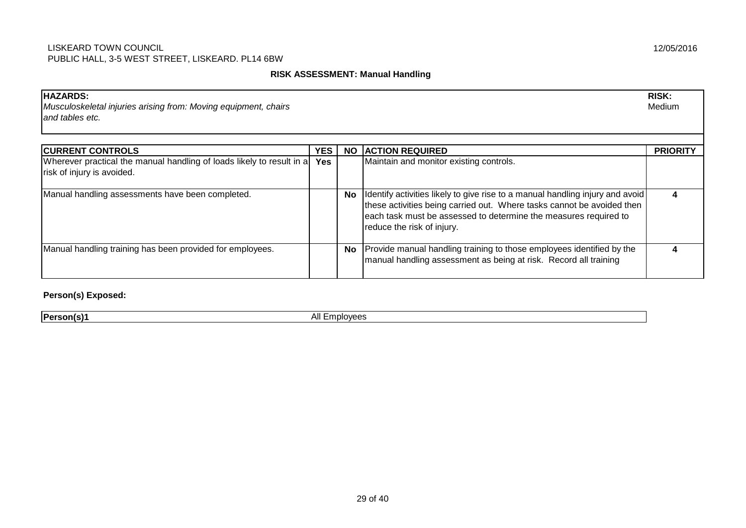#### **RISK ASSESSMENT: Manual Handling**

| <b>HAZARDS:</b><br>Musculoskeletal injuries arising from: Moving equipment, chairs<br>and tables etc. |            |           |                                                                                                                                                                                                                                                           | <b>RISK:</b><br>Medium |
|-------------------------------------------------------------------------------------------------------|------------|-----------|-----------------------------------------------------------------------------------------------------------------------------------------------------------------------------------------------------------------------------------------------------------|------------------------|
| <b>CURRENT CONTROLS</b>                                                                               | <b>YES</b> | <b>NO</b> | <b>ACTION REQUIRED</b>                                                                                                                                                                                                                                    | <b>PRIORITY</b>        |
| Wherever practical the manual handling of loads likely to result in a<br>risk of injury is avoided.   | <b>Yes</b> |           | Maintain and monitor existing controls.                                                                                                                                                                                                                   |                        |
| Manual handling assessments have been completed.                                                      |            | No.       | Identify activities likely to give rise to a manual handling injury and avoid<br>these activities being carried out. Where tasks cannot be avoided then<br>each task must be assessed to determine the measures required to<br>reduce the risk of injury. | 4                      |
| Manual handling training has been provided for employees.                                             |            | <b>No</b> | Provide manual handling training to those employees identified by the<br>manual handling assessment as being at risk. Record all training                                                                                                                 |                        |

**Person(s) Exposed:**

**Person(s)1** All Employees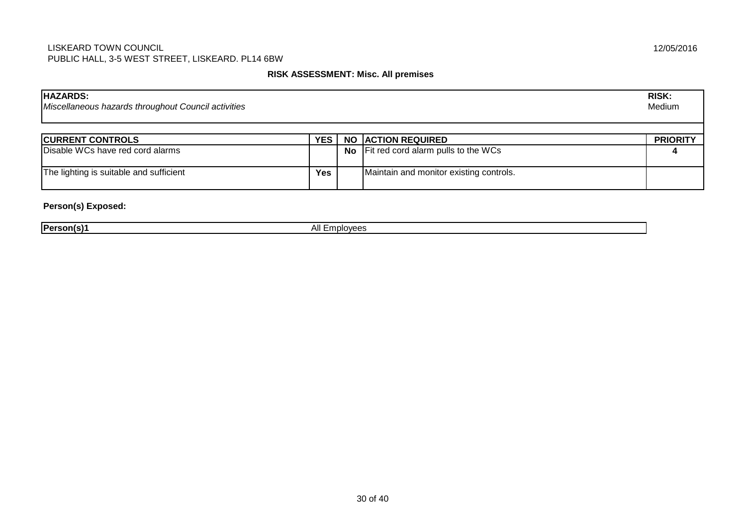#### **RISK ASSESSMENT: Misc. All premises**

| <b>HAZARDS:</b><br>Miscellaneous hazards throughout Council activities |     |                                         | <b>RISK:</b><br>Medium |
|------------------------------------------------------------------------|-----|-----------------------------------------|------------------------|
|                                                                        |     |                                         |                        |
| <b>CURRENT CONTROLS</b>                                                | YES | <b>NO ACTION REQUIRED</b>               | <b>PRIORITY</b>        |
| Disable WCs have red cord alarms                                       |     | No Fit red cord alarm pulls to the WCs  |                        |
| The lighting is suitable and sufficient                                | Yes | Maintain and monitor existing controls. |                        |

## **Person(s) Exposed:**

| <b>IPers</b> | <b>Contract Contract Contract Contract</b> |
|--------------|--------------------------------------------|
| . .          | $\sim$                                     |
|              | .                                          |
|              |                                            |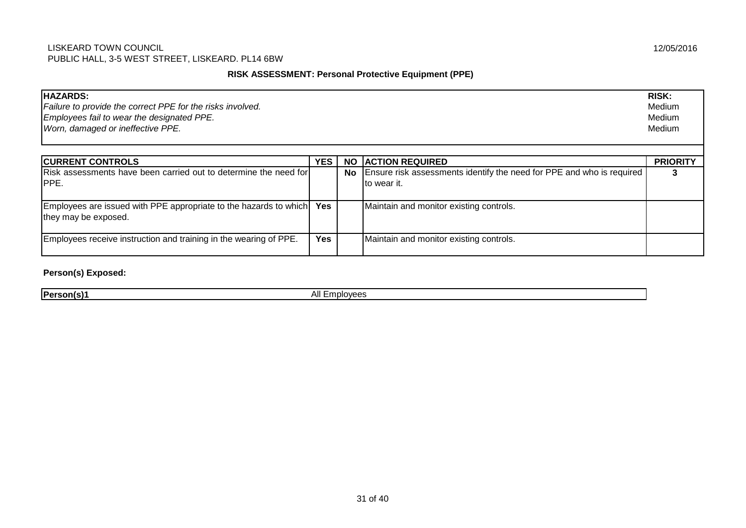## **RISK ASSESSMENT: Personal Protective Equipment (PPE)**

| <b>HAZARDS:</b><br>Failure to provide the correct PPE for the risks involved.<br>Employees fail to wear the designated PPE.<br>Worn, damaged or ineffective PPE. |            |           | <b>RISK:</b><br>Medium<br>Medium<br>Medium                                                 |                 |
|------------------------------------------------------------------------------------------------------------------------------------------------------------------|------------|-----------|--------------------------------------------------------------------------------------------|-----------------|
| <b>CURRENT CONTROLS</b>                                                                                                                                          | YES        | <b>NO</b> | <b>ACTION REQUIRED</b>                                                                     | <b>PRIORITY</b> |
| <b>Risk assessments have been carried out to determine the need for</b><br><b>IPPE.</b>                                                                          |            |           | No   Ensure risk assessments identify the need for PPE and who is required<br>Ito wear it. |                 |
| Employees are issued with PPE appropriate to the hazards to which<br>they may be exposed.                                                                        | <b>Yes</b> |           | Maintain and monitor existing controls.                                                    |                 |
| Employees receive instruction and training in the wearing of PPE.                                                                                                | <b>Yes</b> |           | Maintain and monitor existing controls.                                                    |                 |

#### **Person(s) Exposed:**

**Person(s)1** All Employees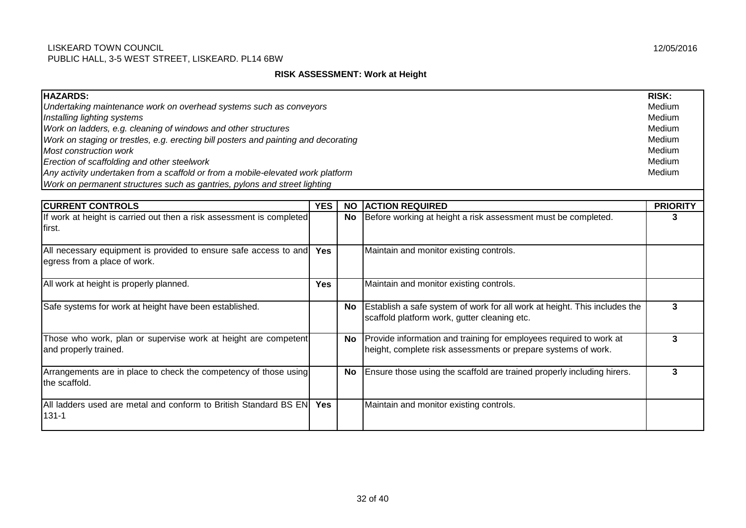#### **RISK ASSESSMENT: Work at Height**

| <b>HAZARDS:</b><br>Undertaking maintenance work on overhead systems such as conveyors<br>Installing lighting systems<br>Work on ladders, e.g. cleaning of windows and other structures<br>Work on staging or trestles, e.g. erecting bill posters and painting and decorating<br>Most construction work<br>Erection of scaffolding and other steelwork |            |           |                                                                                                                                     |                 |
|--------------------------------------------------------------------------------------------------------------------------------------------------------------------------------------------------------------------------------------------------------------------------------------------------------------------------------------------------------|------------|-----------|-------------------------------------------------------------------------------------------------------------------------------------|-----------------|
| Any activity undertaken from a scaffold or from a mobile-elevated work platform<br>Work on permanent structures such as gantries, pylons and street lighting                                                                                                                                                                                           |            |           |                                                                                                                                     | Medium          |
| <b>CURRENT CONTROLS</b>                                                                                                                                                                                                                                                                                                                                | <b>YES</b> | <b>NO</b> | <b>ACTION REQUIRED</b>                                                                                                              | <b>PRIORITY</b> |
| If work at height is carried out then a risk assessment is completed<br>first.                                                                                                                                                                                                                                                                         |            | <b>No</b> | Before working at height a risk assessment must be completed.                                                                       | 3               |
| All necessary equipment is provided to ensure safe access to and<br>egress from a place of work.                                                                                                                                                                                                                                                       | <b>Yes</b> |           | Maintain and monitor existing controls.                                                                                             |                 |
| All work at height is properly planned.                                                                                                                                                                                                                                                                                                                | <b>Yes</b> |           | Maintain and monitor existing controls.                                                                                             |                 |
| Safe systems for work at height have been established.                                                                                                                                                                                                                                                                                                 |            | No        | Establish a safe system of work for all work at height. This includes the<br>scaffold platform work, gutter cleaning etc.           | 3               |
| Those who work, plan or supervise work at height are competent<br>and properly trained.                                                                                                                                                                                                                                                                |            | No        | Provide information and training for employees required to work at<br>height, complete risk assessments or prepare systems of work. | 3               |
| Arrangements are in place to check the competency of those using<br>the scaffold.                                                                                                                                                                                                                                                                      |            | <b>No</b> | Ensure those using the scaffold are trained properly including hirers.                                                              | 3               |
| All ladders used are metal and conform to British Standard BS EN<br>$131 - 1$                                                                                                                                                                                                                                                                          | <b>Yes</b> |           | Maintain and monitor existing controls.                                                                                             |                 |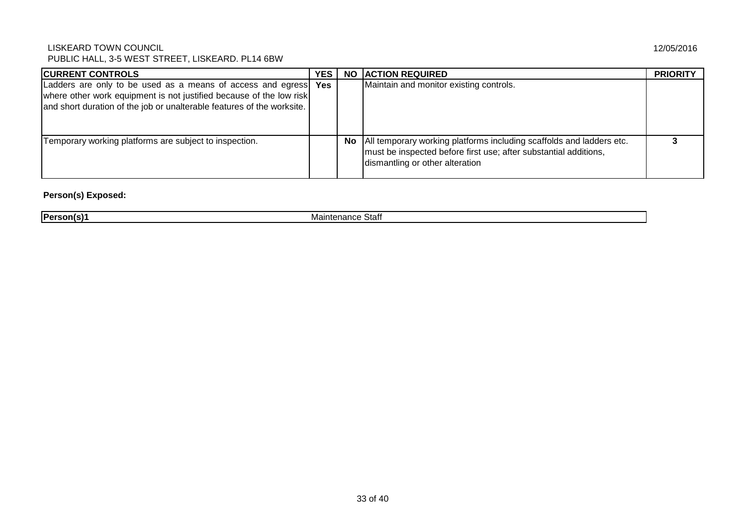| <b>CURRENT CONTROLS</b>                                                                                                                                                                                          | <b>YES</b> |    | <b>NO ACTION REQUIRED</b>                                                                                                                                                   | <b>PRIORITY</b> |
|------------------------------------------------------------------------------------------------------------------------------------------------------------------------------------------------------------------|------------|----|-----------------------------------------------------------------------------------------------------------------------------------------------------------------------------|-----------------|
| Ladders are only to be used as a means of access and egress Yes<br>where other work equipment is not justified because of the low risk<br>and short duration of the job or unalterable features of the worksite. |            |    | Maintain and monitor existing controls.                                                                                                                                     |                 |
| Temporary working platforms are subject to inspection.                                                                                                                                                           |            | No | All temporary working platforms including scaffolds and ladders etc.<br>must be inspected before first use; after substantial additions,<br>dismantling or other alteration |                 |

## **Person(s) Exposed:**

**Person(s)1** Maintenance Staff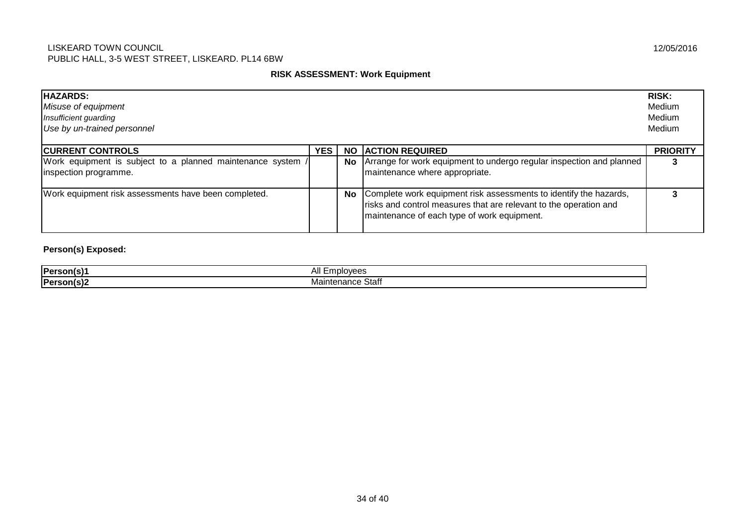#### **RISK ASSESSMENT: Work Equipment**

| <b>HAZARDS:</b><br>Misuse of equipment<br>Insufficient guarding<br>Use by un-trained personnel |            |      |                                                                                                                                                                                       | <b>RISK:</b><br>Medium<br>Medium<br>Medium |
|------------------------------------------------------------------------------------------------|------------|------|---------------------------------------------------------------------------------------------------------------------------------------------------------------------------------------|--------------------------------------------|
| <b>CURRENT CONTROLS</b>                                                                        | <b>YES</b> | NO.  | <b>ACTION REQUIRED</b>                                                                                                                                                                | <b>PRIORITY</b>                            |
| Work equipment is subject to a planned maintenance system /<br>inspection programme.           |            |      | No   Arrange for work equipment to undergo regular inspection and planned<br>maintenance where appropriate.                                                                           |                                            |
| Work equipment risk assessments have been completed.                                           |            | No l | Complete work equipment risk assessments to identify the hazards,<br>risks and control measures that are relevant to the operation and<br>maintenance of each type of work equipment. |                                            |

## **Person(s) Exposed:**

| <b>Person</b> ( | .  —<br>MOP<br>mbit.<br>$\sim$     |
|-----------------|------------------------------------|
| Person(s        | ີ້ຳຕາ<br>101<br>ner<br>ાતા<br>панс |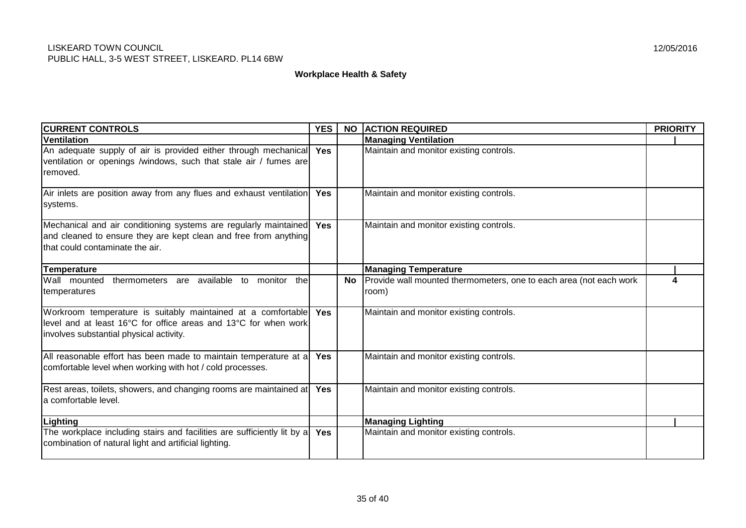#### **Workplace Health & Safety**

| <b>CURRENT CONTROLS</b>                                                                                                                                                     | <b>YES</b> | <b>NO</b> | <b>ACTION REQUIRED</b>                                                      | <b>PRIORITY</b> |
|-----------------------------------------------------------------------------------------------------------------------------------------------------------------------------|------------|-----------|-----------------------------------------------------------------------------|-----------------|
| <b>Ventilation</b>                                                                                                                                                          |            |           | <b>Managing Ventilation</b>                                                 |                 |
| An adequate supply of air is provided either through mechanical<br>ventilation or openings /windows, such that stale air / fumes are<br>removed.                            | Yes        |           | Maintain and monitor existing controls.                                     |                 |
| Air inlets are position away from any flues and exhaust ventilation<br>systems.                                                                                             | <b>Yes</b> |           | Maintain and monitor existing controls.                                     |                 |
| Mechanical and air conditioning systems are regularly maintained<br>and cleaned to ensure they are kept clean and free from anything<br>that could contaminate the air.     | Yes        |           | Maintain and monitor existing controls.                                     |                 |
| <b>Temperature</b>                                                                                                                                                          |            |           | <b>Managing Temperature</b>                                                 |                 |
| Wall mounted<br>thermometers are available to monitor<br>thel<br>temperatures                                                                                               |            | <b>No</b> | Provide wall mounted thermometers, one to each area (not each work<br>room) |                 |
| Workroom temperature is suitably maintained at a comfortable<br>llevel and at least 16°C for office areas and 13°C for when work<br>involves substantial physical activity. | <b>Yes</b> |           | Maintain and monitor existing controls.                                     |                 |
| All reasonable effort has been made to maintain temperature at a<br>comfortable level when working with hot / cold processes.                                               | <b>Yes</b> |           | Maintain and monitor existing controls.                                     |                 |
| Rest areas, toilets, showers, and changing rooms are maintained at<br>la comfortable level.                                                                                 | Yes        |           | Maintain and monitor existing controls.                                     |                 |
| Lighting                                                                                                                                                                    |            |           | <b>Managing Lighting</b>                                                    |                 |
| The workplace including stairs and facilities are sufficiently lit by a<br>combination of natural light and artificial lighting.                                            | Yes        |           | Maintain and monitor existing controls.                                     |                 |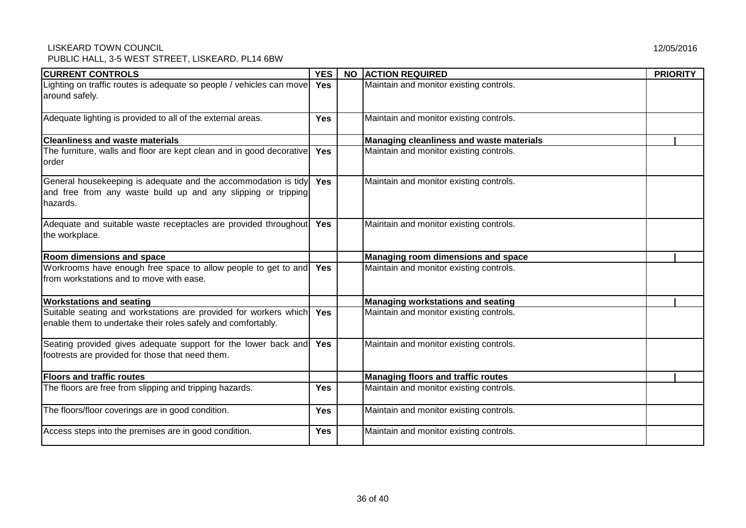| <b>CURRENT CONTROLS</b>                                                                                                                      | <b>YES</b> | <b>NO</b> | <b>ACTION REQUIRED</b>                    | <b>PRIORITY</b> |  |
|----------------------------------------------------------------------------------------------------------------------------------------------|------------|-----------|-------------------------------------------|-----------------|--|
| Lighting on traffic routes is adequate so people / vehicles can move<br>around safely.                                                       | <b>Yes</b> |           | Maintain and monitor existing controls.   |                 |  |
| Adequate lighting is provided to all of the external areas.                                                                                  | <b>Yes</b> |           | Maintain and monitor existing controls.   |                 |  |
| <b>Cleanliness and waste materials</b>                                                                                                       |            |           | Managing cleanliness and waste materials  |                 |  |
| The furniture, walls and floor are kept clean and in good decorative<br>order                                                                | <b>Yes</b> |           | Maintain and monitor existing controls.   |                 |  |
| General housekeeping is adequate and the accommodation is tidy<br>and free from any waste build up and any slipping or tripping<br>Ihazards. | <b>Yes</b> |           | Maintain and monitor existing controls.   |                 |  |
| Adequate and suitable waste receptacles are provided throughout<br>the workplace.                                                            | <b>Yes</b> |           | Maintain and monitor existing controls.   |                 |  |
| Room dimensions and space                                                                                                                    |            |           | Managing room dimensions and space        |                 |  |
| Workrooms have enough free space to allow people to get to and<br>Ifrom workstations and to move with ease.                                  | <b>Yes</b> |           | Maintain and monitor existing controls.   |                 |  |
| <b>Workstations and seating</b>                                                                                                              |            |           | <b>Managing workstations and seating</b>  |                 |  |
| Suitable seating and workstations are provided for workers which<br>enable them to undertake their roles safely and comfortably.             | <b>Yes</b> |           | Maintain and monitor existing controls.   |                 |  |
| Seating provided gives adequate support for the lower back and<br>footrests are provided for those that need them.                           | <b>Yes</b> |           | Maintain and monitor existing controls.   |                 |  |
| <b>Floors and traffic routes</b>                                                                                                             |            |           | <b>Managing floors and traffic routes</b> |                 |  |
| The floors are free from slipping and tripping hazards.                                                                                      | <b>Yes</b> |           | Maintain and monitor existing controls.   |                 |  |
| The floors/floor coverings are in good condition.                                                                                            | <b>Yes</b> |           | Maintain and monitor existing controls.   |                 |  |
| Access steps into the premises are in good condition.                                                                                        | <b>Yes</b> |           | Maintain and monitor existing controls.   |                 |  |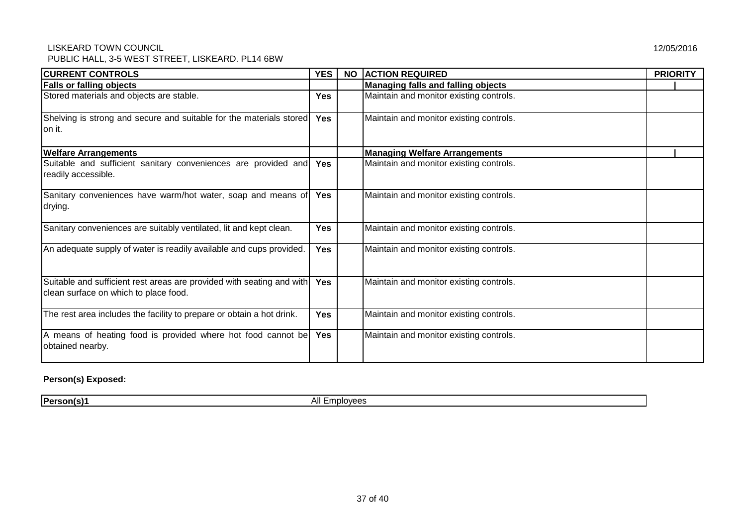| <b>CURRENT CONTROLS</b>                                                                                        | <b>YES</b> | <b>NO</b> | <b>ACTION REQUIRED</b>                  | <b>PRIORITY</b> |
|----------------------------------------------------------------------------------------------------------------|------------|-----------|-----------------------------------------|-----------------|
| <b>Falls or falling objects</b>                                                                                |            |           | Managing falls and falling objects      |                 |
| Stored materials and objects are stable.                                                                       | Yes        |           | Maintain and monitor existing controls. |                 |
| Shelving is strong and secure and suitable for the materials stored<br>on it.                                  | <b>Yes</b> |           | Maintain and monitor existing controls. |                 |
| <b>Welfare Arrangements</b>                                                                                    |            |           | <b>Managing Welfare Arrangements</b>    |                 |
| Suitable and sufficient sanitary conveniences are provided and<br>readily accessible.                          | <b>Yes</b> |           | Maintain and monitor existing controls. |                 |
| Sanitary conveniences have warm/hot water, soap and means of<br>drying.                                        | <b>Yes</b> |           | Maintain and monitor existing controls. |                 |
| Sanitary conveniences are suitably ventilated, lit and kept clean.                                             | <b>Yes</b> |           | Maintain and monitor existing controls. |                 |
| An adequate supply of water is readily available and cups provided.                                            | <b>Yes</b> |           | Maintain and monitor existing controls. |                 |
| Suitable and sufficient rest areas are provided with seating and with<br>clean surface on which to place food. | <b>Yes</b> |           | Maintain and monitor existing controls. |                 |
| The rest area includes the facility to prepare or obtain a hot drink.                                          | Yes        |           | Maintain and monitor existing controls. |                 |
| A means of heating food is provided where hot food cannot be<br>obtained nearby.                               | <b>Yes</b> |           | Maintain and monitor existing controls. |                 |

### **Person(s) Exposed:**

**Person(s)1** All Employees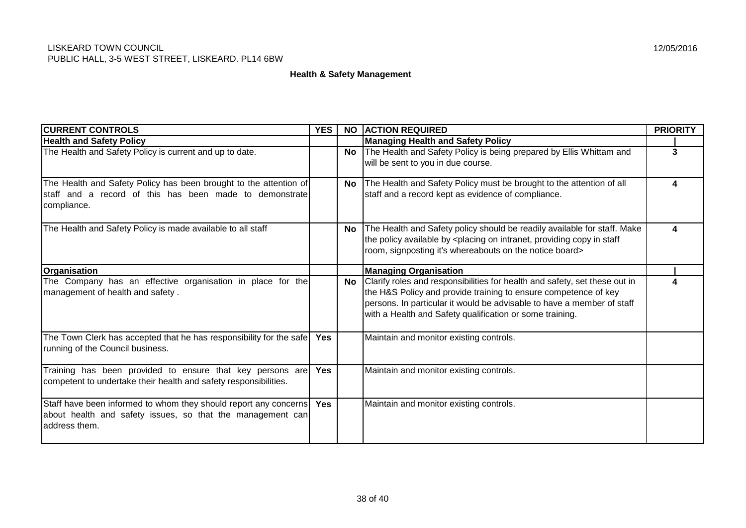#### **Health & Safety Management**

| <b>CURRENT CONTROLS</b>                                                                                                                               | <b>YES</b> | <b>NO</b> | <b>ACTION REQUIRED</b>                                                                                                                                                                                                                                                              | <b>PRIORITY</b> |
|-------------------------------------------------------------------------------------------------------------------------------------------------------|------------|-----------|-------------------------------------------------------------------------------------------------------------------------------------------------------------------------------------------------------------------------------------------------------------------------------------|-----------------|
| <b>Health and Safety Policy</b>                                                                                                                       |            |           | <b>Managing Health and Safety Policy</b>                                                                                                                                                                                                                                            |                 |
| The Health and Safety Policy is current and up to date.                                                                                               |            | <b>No</b> | The Health and Safety Policy is being prepared by Ellis Whittam and                                                                                                                                                                                                                 | 3               |
|                                                                                                                                                       |            |           | will be sent to you in due course.                                                                                                                                                                                                                                                  |                 |
| The Health and Safety Policy has been brought to the attention of                                                                                     |            | No l      | The Health and Safety Policy must be brought to the attention of all                                                                                                                                                                                                                | 4               |
| staff and a record of this has been made to demonstrate<br>compliance.                                                                                |            |           | staff and a record kept as evidence of compliance.                                                                                                                                                                                                                                  |                 |
| The Health and Safety Policy is made available to all staff                                                                                           |            | No l      | The Health and Safety policy should be readily available for staff. Make<br>the policy available by <placing copy="" in="" intranet,="" on="" providing="" staff<br="">room, signposting it's whereabouts on the notice board&gt;</placing>                                         |                 |
| Organisation                                                                                                                                          |            |           | <b>Managing Organisation</b>                                                                                                                                                                                                                                                        |                 |
| The Company has an effective organisation in place for the<br>management of health and safety.                                                        |            | No        | Clarify roles and responsibilities for health and safety, set these out in<br>the H&S Policy and provide training to ensure competence of key<br>persons. In particular it would be advisable to have a member of staff<br>with a Health and Safety qualification or some training. |                 |
| The Town Clerk has accepted that he has responsibility for the safe<br>running of the Council business.                                               | <b>Yes</b> |           | Maintain and monitor existing controls.                                                                                                                                                                                                                                             |                 |
| Training has been provided to ensure that key persons are<br>competent to undertake their health and safety responsibilities.                         | <b>Yes</b> |           | Maintain and monitor existing controls.                                                                                                                                                                                                                                             |                 |
| Staff have been informed to whom they should report any concerns   Yes<br>about health and safety issues, so that the management can<br>address them. |            |           | Maintain and monitor existing controls.                                                                                                                                                                                                                                             |                 |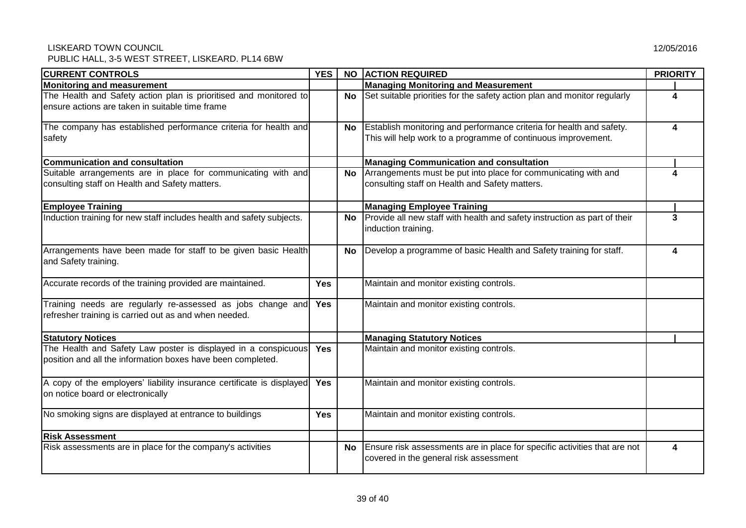| <b>CURRENT CONTROLS</b>                                                                                                       | YES <sup>I</sup> |     | NO ACTION REQUIRED                                                                                                                    | <b>PRIORITY</b> |
|-------------------------------------------------------------------------------------------------------------------------------|------------------|-----|---------------------------------------------------------------------------------------------------------------------------------------|-----------------|
| Monitoring and measurement                                                                                                    |                  |     | <b>Managing Monitoring and Measurement</b>                                                                                            |                 |
| The Health and Safety action plan is prioritised and monitored to<br>ensure actions are taken in suitable time frame          |                  | No  | Set suitable priorities for the safety action plan and monitor regularly                                                              | Δ               |
| The company has established performance criteria for health and<br>safety                                                     |                  | No. | Establish monitoring and performance criteria for health and safety.<br>This will help work to a programme of continuous improvement. | 4               |
| <b>Communication and consultation</b>                                                                                         |                  |     | <b>Managing Communication and consultation</b>                                                                                        |                 |
| Suitable arrangements are in place for communicating with and<br>consulting staff on Health and Safety matters.               |                  | No  | Arrangements must be put into place for communicating with and<br>consulting staff on Health and Safety matters.                      | 4               |
| <b>Employee Training</b>                                                                                                      |                  |     | <b>Managing Employee Training</b>                                                                                                     |                 |
| Induction training for new staff includes health and safety subjects.                                                         |                  | No  | Provide all new staff with health and safety instruction as part of their<br>induction training.                                      | 3               |
| Arrangements have been made for staff to be given basic Health<br>and Safety training.                                        |                  | No. | Develop a programme of basic Health and Safety training for staff.                                                                    | 4               |
| Accurate records of the training provided are maintained.                                                                     | <b>Yes</b>       |     | Maintain and monitor existing controls.                                                                                               |                 |
| Training needs are regularly re-assessed as jobs change and<br>refresher training is carried out as and when needed.          | Yes              |     | Maintain and monitor existing controls.                                                                                               |                 |
| <b>Statutory Notices</b>                                                                                                      |                  |     | <b>Managing Statutory Notices</b>                                                                                                     |                 |
| The Health and Safety Law poster is displayed in a conspicuous<br>position and all the information boxes have been completed. | <b>Yes</b>       |     | Maintain and monitor existing controls.                                                                                               |                 |
| A copy of the employers' liability insurance certificate is displayed<br>on notice board or electronically                    | Yes              |     | Maintain and monitor existing controls.                                                                                               |                 |
| No smoking signs are displayed at entrance to buildings                                                                       | <b>Yes</b>       |     | Maintain and monitor existing controls.                                                                                               |                 |
| <b>Risk Assessment</b>                                                                                                        |                  |     |                                                                                                                                       |                 |
| Risk assessments are in place for the company's activities                                                                    |                  |     | No Ensure risk assessments are in place for specific activities that are not                                                          | 4               |

covered in the general risk assessment